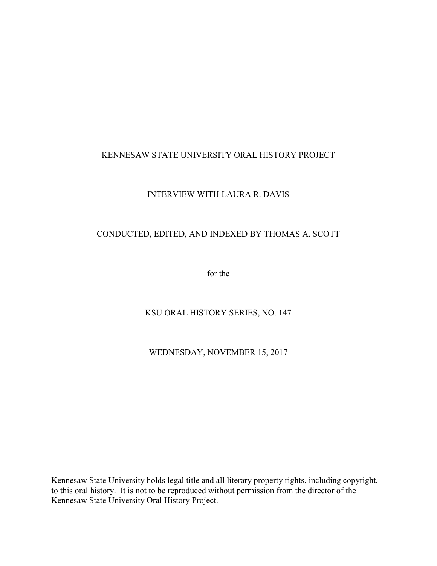# KENNESAW STATE UNIVERSITY ORAL HISTORY PROJECT

## INTERVIEW WITH LAURA R. DAVIS

## CONDUCTED, EDITED, AND INDEXED BY THOMAS A. SCOTT

for the

KSU ORAL HISTORY SERIES, NO. 147

WEDNESDAY, NOVEMBER 15, 2017

Kennesaw State University holds legal title and all literary property rights, including copyright, to this oral history. It is not to be reproduced without permission from the director of the Kennesaw State University Oral History Project.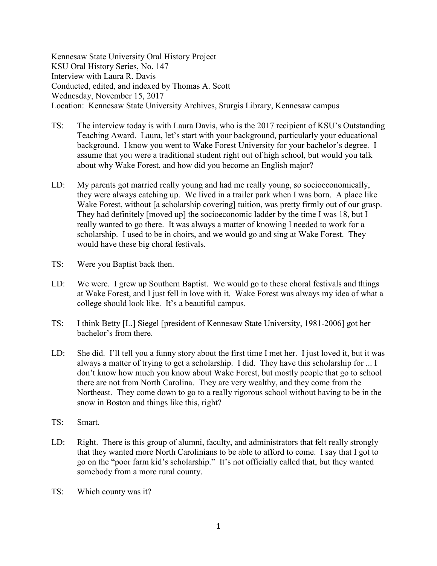Kennesaw State University Oral History Project KSU Oral History Series, No. 147 Interview with Laura R. Davis Conducted, edited, and indexed by Thomas A. Scott Wednesday, November 15, 2017 Location: Kennesaw State University Archives, Sturgis Library, Kennesaw campus

- TS: The interview today is with Laura Davis, who is the 2017 recipient of KSU's Outstanding Teaching Award. Laura, let's start with your background, particularly your educational background. I know you went to Wake Forest University for your bachelor's degree. I assume that you were a traditional student right out of high school, but would you talk about why Wake Forest, and how did you become an English major?
- LD: My parents got married really young and had me really young, so socioeconomically, they were always catching up. We lived in a trailer park when I was born. A place like Wake Forest, without [a scholarship covering] tuition, was pretty firmly out of our grasp. They had definitely [moved up] the socioeconomic ladder by the time I was 18, but I really wanted to go there. It was always a matter of knowing I needed to work for a scholarship. I used to be in choirs, and we would go and sing at Wake Forest. They would have these big choral festivals.
- TS: Were you Baptist back then.
- LD: We were. I grew up Southern Baptist. We would go to these choral festivals and things at Wake Forest, and I just fell in love with it. Wake Forest was always my idea of what a college should look like. It's a beautiful campus.
- TS: I think Betty [L.] Siegel [president of Kennesaw State University, 1981-2006] got her bachelor's from there.
- LD: She did. I'll tell you a funny story about the first time I met her. I just loved it, but it was always a matter of trying to get a scholarship. I did. They have this scholarship for ... I don't know how much you know about Wake Forest, but mostly people that go to school there are not from North Carolina. They are very wealthy, and they come from the Northeast. They come down to go to a really rigorous school without having to be in the snow in Boston and things like this, right?
- TS: Smart.
- LD: Right. There is this group of alumni, faculty, and administrators that felt really strongly that they wanted more North Carolinians to be able to afford to come. I say that I got to go on the "poor farm kid's scholarship." It's not officially called that, but they wanted somebody from a more rural county.
- TS: Which county was it?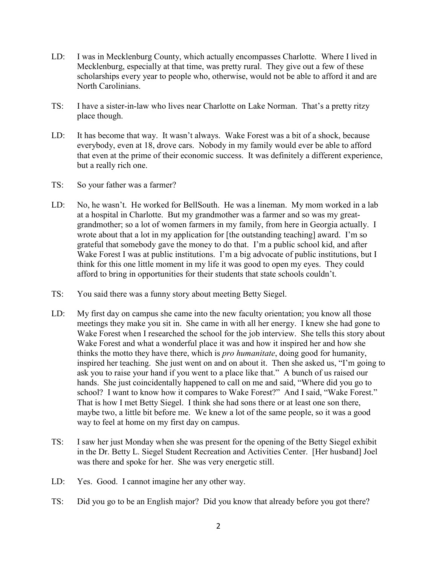- LD: I was in Mecklenburg County, which actually encompasses Charlotte. Where I lived in Mecklenburg, especially at that time, was pretty rural. They give out a few of these scholarships every year to people who, otherwise, would not be able to afford it and are North Carolinians.
- TS: I have a sister-in-law who lives near Charlotte on Lake Norman. That's a pretty ritzy place though.
- LD: It has become that way. It wasn't always. Wake Forest was a bit of a shock, because everybody, even at 18, drove cars. Nobody in my family would ever be able to afford that even at the prime of their economic success. It was definitely a different experience, but a really rich one.
- TS: So your father was a farmer?
- LD: No, he wasn't. He worked for BellSouth. He was a lineman. My mom worked in a lab at a hospital in Charlotte. But my grandmother was a farmer and so was my greatgrandmother; so a lot of women farmers in my family, from here in Georgia actually. I wrote about that a lot in my application for [the outstanding teaching] award. I'm so grateful that somebody gave the money to do that. I'm a public school kid, and after Wake Forest I was at public institutions. I'm a big advocate of public institutions, but I think for this one little moment in my life it was good to open my eyes. They could afford to bring in opportunities for their students that state schools couldn't.
- TS: You said there was a funny story about meeting Betty Siegel.
- LD: My first day on campus she came into the new faculty orientation; you know all those meetings they make you sit in. She came in with all her energy. I knew she had gone to Wake Forest when I researched the school for the job interview. She tells this story about Wake Forest and what a wonderful place it was and how it inspired her and how she thinks the motto they have there, which is *pro humanitate*, doing good for humanity, inspired her teaching. She just went on and on about it. Then she asked us, "I'm going to ask you to raise your hand if you went to a place like that." A bunch of us raised our hands. She just coincidentally happened to call on me and said, "Where did you go to school? I want to know how it compares to Wake Forest?" And I said, "Wake Forest." That is how I met Betty Siegel. I think she had sons there or at least one son there, maybe two, a little bit before me. We knew a lot of the same people, so it was a good way to feel at home on my first day on campus.
- TS: I saw her just Monday when she was present for the opening of the Betty Siegel exhibit in the Dr. Betty L. Siegel Student Recreation and Activities Center. [Her husband] Joel was there and spoke for her. She was very energetic still.
- LD: Yes. Good. I cannot imagine her any other way.
- TS: Did you go to be an English major? Did you know that already before you got there?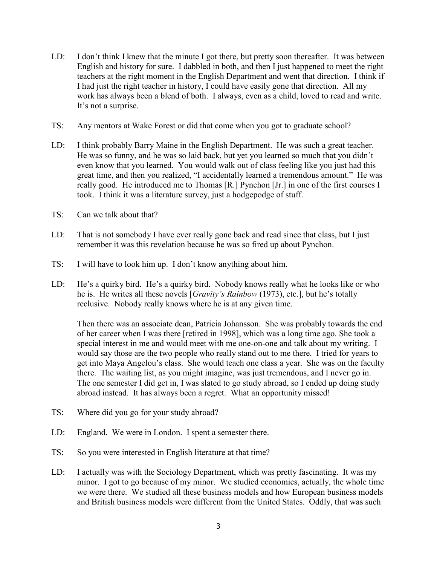- LD: I don't think I knew that the minute I got there, but pretty soon thereafter. It was between English and history for sure. I dabbled in both, and then I just happened to meet the right teachers at the right moment in the English Department and went that direction. I think if I had just the right teacher in history, I could have easily gone that direction. All my work has always been a blend of both. I always, even as a child, loved to read and write. It's not a surprise.
- TS: Any mentors at Wake Forest or did that come when you got to graduate school?
- LD: I think probably Barry Maine in the English Department. He was such a great teacher. He was so funny, and he was so laid back, but yet you learned so much that you didn't even know that you learned. You would walk out of class feeling like you just had this great time, and then you realized, "I accidentally learned a tremendous amount." He was really good. He introduced me to Thomas [R.] Pynchon [Jr.] in one of the first courses I took. I think it was a literature survey, just a hodgepodge of stuff.
- TS: Can we talk about that?
- LD: That is not somebody I have ever really gone back and read since that class, but I just remember it was this revelation because he was so fired up about Pynchon.
- TS: I will have to look him up. I don't know anything about him.
- LD: He's a quirky bird. He's a quirky bird. Nobody knows really what he looks like or who he is. He writes all these novels [*Gravity's Rainbow* (1973), etc.], but he's totally reclusive. Nobody really knows where he is at any given time.

Then there was an associate dean, Patricia Johansson. She was probably towards the end of her career when I was there [retired in 1998], which was a long time ago. She took a special interest in me and would meet with me one-on-one and talk about my writing. I would say those are the two people who really stand out to me there. I tried for years to get into Maya Angelou's class. She would teach one class a year. She was on the faculty there. The waiting list, as you might imagine, was just tremendous, and I never go in. The one semester I did get in, I was slated to go study abroad, so I ended up doing study abroad instead. It has always been a regret. What an opportunity missed!

- TS: Where did you go for your study abroad?
- LD: England. We were in London. I spent a semester there.
- TS: So you were interested in English literature at that time?
- LD: I actually was with the Sociology Department, which was pretty fascinating. It was my minor. I got to go because of my minor. We studied economics, actually, the whole time we were there. We studied all these business models and how European business models and British business models were different from the United States. Oddly, that was such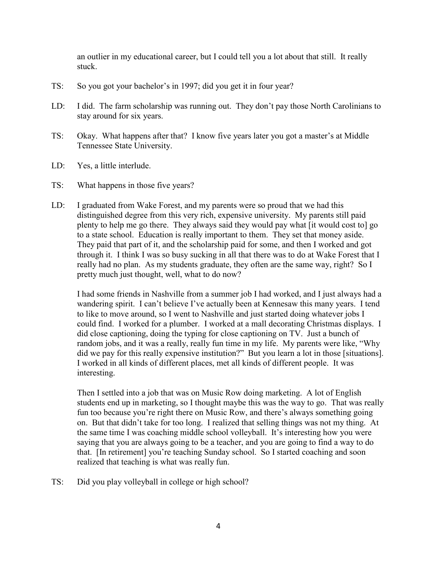an outlier in my educational career, but I could tell you a lot about that still. It really stuck.

- TS: So you got your bachelor's in 1997; did you get it in four year?
- LD: I did. The farm scholarship was running out. They don't pay those North Carolinians to stay around for six years.
- TS: Okay. What happens after that? I know five years later you got a master's at Middle Tennessee State University.
- LD: Yes, a little interlude.
- TS: What happens in those five years?
- LD: I graduated from Wake Forest, and my parents were so proud that we had this distinguished degree from this very rich, expensive university. My parents still paid plenty to help me go there. They always said they would pay what [it would cost to] go to a state school. Education is really important to them. They set that money aside. They paid that part of it, and the scholarship paid for some, and then I worked and got through it. I think I was so busy sucking in all that there was to do at Wake Forest that I really had no plan. As my students graduate, they often are the same way, right? So I pretty much just thought, well, what to do now?

I had some friends in Nashville from a summer job I had worked, and I just always had a wandering spirit. I can't believe I've actually been at Kennesaw this many years. I tend to like to move around, so I went to Nashville and just started doing whatever jobs I could find. I worked for a plumber. I worked at a mall decorating Christmas displays. I did close captioning, doing the typing for close captioning on TV. Just a bunch of random jobs, and it was a really, really fun time in my life. My parents were like, "Why did we pay for this really expensive institution?" But you learn a lot in those [situations]. I worked in all kinds of different places, met all kinds of different people. It was interesting.

Then I settled into a job that was on Music Row doing marketing. A lot of English students end up in marketing, so I thought maybe this was the way to go. That was really fun too because you're right there on Music Row, and there's always something going on. But that didn't take for too long. I realized that selling things was not my thing. At the same time I was coaching middle school volleyball. It's interesting how you were saying that you are always going to be a teacher, and you are going to find a way to do that. [In retirement] you're teaching Sunday school. So I started coaching and soon realized that teaching is what was really fun.

TS: Did you play volleyball in college or high school?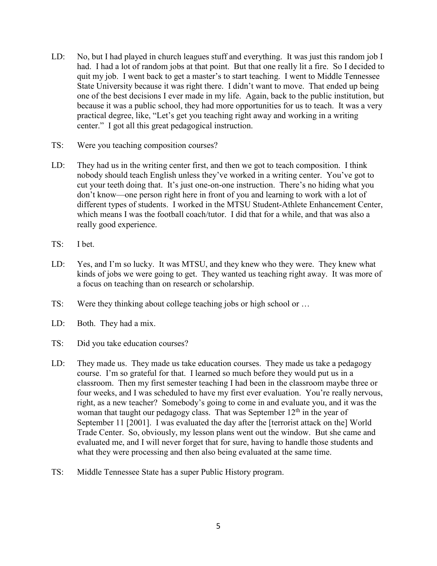- LD: No, but I had played in church leagues stuff and everything. It was just this random job I had. I had a lot of random jobs at that point. But that one really lit a fire. So I decided to quit my job. I went back to get a master's to start teaching. I went to Middle Tennessee State University because it was right there. I didn't want to move. That ended up being one of the best decisions I ever made in my life. Again, back to the public institution, but because it was a public school, they had more opportunities for us to teach. It was a very practical degree, like, "Let's get you teaching right away and working in a writing center." I got all this great pedagogical instruction.
- TS: Were you teaching composition courses?
- LD: They had us in the writing center first, and then we got to teach composition. I think nobody should teach English unless they've worked in a writing center. You've got to cut your teeth doing that. It's just one-on-one instruction. There's no hiding what you don't know—one person right here in front of you and learning to work with a lot of different types of students. I worked in the MTSU Student-Athlete Enhancement Center, which means I was the football coach/tutor. I did that for a while, and that was also a really good experience.
- TS: I bet.
- LD: Yes, and I'm so lucky. It was MTSU, and they knew who they were. They knew what kinds of jobs we were going to get. They wanted us teaching right away. It was more of a focus on teaching than on research or scholarship.
- TS: Were they thinking about college teaching jobs or high school or …
- LD: Both. They had a mix.
- TS: Did you take education courses?
- LD: They made us. They made us take education courses. They made us take a pedagogy course. I'm so grateful for that. I learned so much before they would put us in a classroom. Then my first semester teaching I had been in the classroom maybe three or four weeks, and I was scheduled to have my first ever evaluation. You're really nervous, right, as a new teacher? Somebody's going to come in and evaluate you, and it was the woman that taught our pedagogy class. That was September  $12<sup>th</sup>$  in the year of September 11 [2001]. I was evaluated the day after the [terrorist attack on the] World Trade Center. So, obviously, my lesson plans went out the window. But she came and evaluated me, and I will never forget that for sure, having to handle those students and what they were processing and then also being evaluated at the same time.
- TS: Middle Tennessee State has a super Public History program.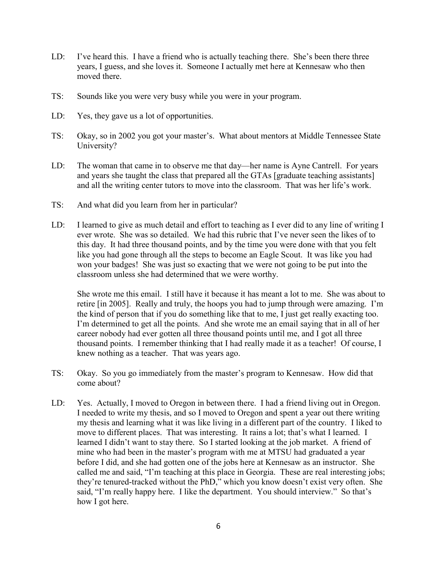- LD: I've heard this. I have a friend who is actually teaching there. She's been there three years, I guess, and she loves it. Someone I actually met here at Kennesaw who then moved there.
- TS: Sounds like you were very busy while you were in your program.
- LD: Yes, they gave us a lot of opportunities.
- TS: Okay, so in 2002 you got your master's. What about mentors at Middle Tennessee State University?
- LD: The woman that came in to observe me that day—her name is Ayne Cantrell. For years and years she taught the class that prepared all the GTAs [graduate teaching assistants] and all the writing center tutors to move into the classroom. That was her life's work.
- TS: And what did you learn from her in particular?
- LD: I learned to give as much detail and effort to teaching as I ever did to any line of writing I ever wrote. She was so detailed. We had this rubric that I've never seen the likes of to this day. It had three thousand points, and by the time you were done with that you felt like you had gone through all the steps to become an Eagle Scout. It was like you had won your badges! She was just so exacting that we were not going to be put into the classroom unless she had determined that we were worthy.

She wrote me this email. I still have it because it has meant a lot to me. She was about to retire [in 2005]. Really and truly, the hoops you had to jump through were amazing. I'm the kind of person that if you do something like that to me, I just get really exacting too. I'm determined to get all the points. And she wrote me an email saying that in all of her career nobody had ever gotten all three thousand points until me, and I got all three thousand points. I remember thinking that I had really made it as a teacher! Of course, I knew nothing as a teacher. That was years ago.

- TS: Okay. So you go immediately from the master's program to Kennesaw. How did that come about?
- LD: Yes. Actually, I moved to Oregon in between there. I had a friend living out in Oregon. I needed to write my thesis, and so I moved to Oregon and spent a year out there writing my thesis and learning what it was like living in a different part of the country. I liked to move to different places. That was interesting. It rains a lot; that's what I learned. I learned I didn't want to stay there. So I started looking at the job market. A friend of mine who had been in the master's program with me at MTSU had graduated a year before I did, and she had gotten one of the jobs here at Kennesaw as an instructor. She called me and said, "I'm teaching at this place in Georgia. These are real interesting jobs; they're tenured-tracked without the PhD," which you know doesn't exist very often. She said, "I'm really happy here. I like the department. You should interview." So that's how I got here.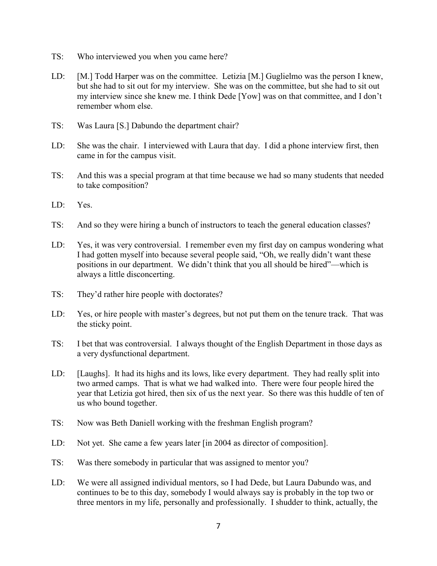- TS: Who interviewed you when you came here?
- LD: [M.] Todd Harper was on the committee. Letizia [M.] Guglielmo was the person I knew, but she had to sit out for my interview. She was on the committee, but she had to sit out my interview since she knew me. I think Dede [Yow] was on that committee, and I don't remember whom else.
- TS: Was Laura [S.] Dabundo the department chair?
- LD: She was the chair. I interviewed with Laura that day. I did a phone interview first, then came in for the campus visit.
- TS: And this was a special program at that time because we had so many students that needed to take composition?
- LD: Yes.
- TS: And so they were hiring a bunch of instructors to teach the general education classes?
- LD: Yes, it was very controversial. I remember even my first day on campus wondering what I had gotten myself into because several people said, "Oh, we really didn't want these positions in our department. We didn't think that you all should be hired"—which is always a little disconcerting.
- TS: They'd rather hire people with doctorates?
- LD: Yes, or hire people with master's degrees, but not put them on the tenure track. That was the sticky point.
- TS: I bet that was controversial. I always thought of the English Department in those days as a very dysfunctional department.
- LD: [Laughs]. It had its highs and its lows, like every department. They had really split into two armed camps. That is what we had walked into. There were four people hired the year that Letizia got hired, then six of us the next year. So there was this huddle of ten of us who bound together.
- TS: Now was Beth Daniell working with the freshman English program?
- LD: Not yet. She came a few years later [in 2004 as director of composition].
- TS: Was there somebody in particular that was assigned to mentor you?
- LD: We were all assigned individual mentors, so I had Dede, but Laura Dabundo was, and continues to be to this day, somebody I would always say is probably in the top two or three mentors in my life, personally and professionally. I shudder to think, actually, the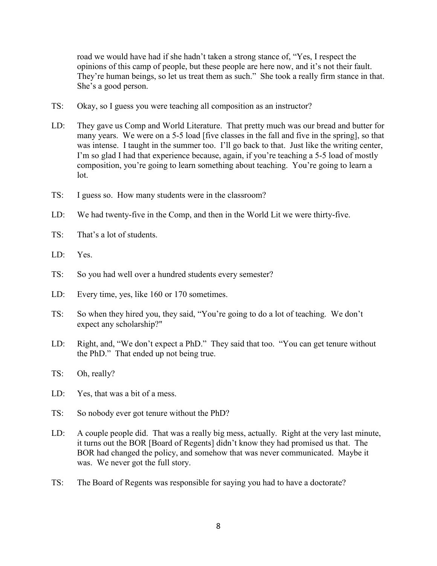road we would have had if she hadn't taken a strong stance of, "Yes, I respect the opinions of this camp of people, but these people are here now, and it's not their fault. They're human beings, so let us treat them as such." She took a really firm stance in that. She's a good person.

- TS: Okay, so I guess you were teaching all composition as an instructor?
- LD: They gave us Comp and World Literature. That pretty much was our bread and butter for many years. We were on a 5-5 load [five classes in the fall and five in the spring], so that was intense. I taught in the summer too. I'll go back to that. Just like the writing center, I'm so glad I had that experience because, again, if you're teaching a 5-5 load of mostly composition, you're going to learn something about teaching. You're going to learn a lot.
- TS: I guess so. How many students were in the classroom?
- LD: We had twenty-five in the Comp, and then in the World Lit we were thirty-five.
- TS: That's a lot of students.
- LD: Yes.
- TS: So you had well over a hundred students every semester?
- LD: Every time, yes, like 160 or 170 sometimes.
- TS: So when they hired you, they said, "You're going to do a lot of teaching. We don't expect any scholarship?"
- LD: Right, and, "We don't expect a PhD." They said that too. "You can get tenure without the PhD." That ended up not being true.
- TS: Oh, really?
- LD: Yes, that was a bit of a mess.
- TS: So nobody ever got tenure without the PhD?
- LD: A couple people did. That was a really big mess, actually. Right at the very last minute, it turns out the BOR [Board of Regents] didn't know they had promised us that. The BOR had changed the policy, and somehow that was never communicated. Maybe it was. We never got the full story.
- TS: The Board of Regents was responsible for saying you had to have a doctorate?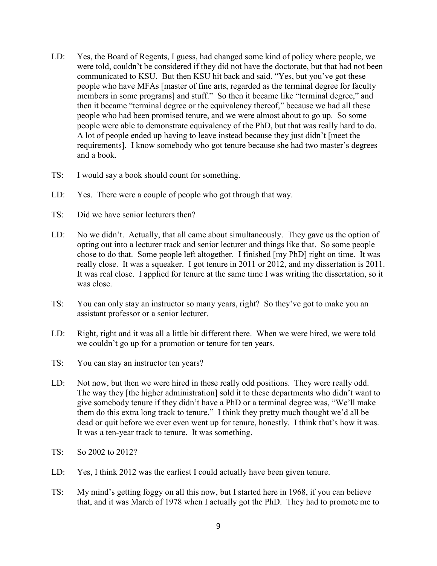- LD: Yes, the Board of Regents, I guess, had changed some kind of policy where people, we were told, couldn't be considered if they did not have the doctorate, but that had not been communicated to KSU. But then KSU hit back and said. "Yes, but you've got these people who have MFAs [master of fine arts, regarded as the terminal degree for faculty members in some programs] and stuff." So then it became like "terminal degree," and then it became "terminal degree or the equivalency thereof," because we had all these people who had been promised tenure, and we were almost about to go up. So some people were able to demonstrate equivalency of the PhD, but that was really hard to do. A lot of people ended up having to leave instead because they just didn't [meet the requirements]. I know somebody who got tenure because she had two master's degrees and a book.
- TS: I would say a book should count for something.
- LD: Yes. There were a couple of people who got through that way.
- TS: Did we have senior lecturers then?
- LD: No we didn't. Actually, that all came about simultaneously. They gave us the option of opting out into a lecturer track and senior lecturer and things like that. So some people chose to do that. Some people left altogether. I finished [my PhD] right on time. It was really close. It was a squeaker. I got tenure in 2011 or 2012, and my dissertation is 2011. It was real close. I applied for tenure at the same time I was writing the dissertation, so it was close.
- TS: You can only stay an instructor so many years, right? So they've got to make you an assistant professor or a senior lecturer.
- LD: Right, right and it was all a little bit different there. When we were hired, we were told we couldn't go up for a promotion or tenure for ten years.
- TS: You can stay an instructor ten years?
- LD: Not now, but then we were hired in these really odd positions. They were really odd. The way they [the higher administration] sold it to these departments who didn't want to give somebody tenure if they didn't have a PhD or a terminal degree was, "We'll make them do this extra long track to tenure." I think they pretty much thought we'd all be dead or quit before we ever even went up for tenure, honestly. I think that's how it was. It was a ten-year track to tenure. It was something.
- TS: So 2002 to 2012?
- LD: Yes, I think 2012 was the earliest I could actually have been given tenure.
- TS: My mind's getting foggy on all this now, but I started here in 1968, if you can believe that, and it was March of 1978 when I actually got the PhD. They had to promote me to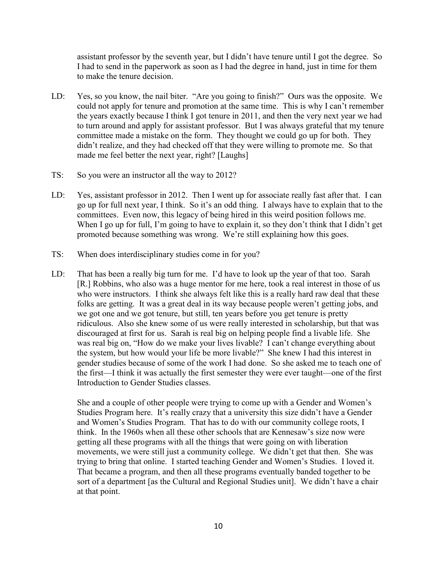assistant professor by the seventh year, but I didn't have tenure until I got the degree. So I had to send in the paperwork as soon as I had the degree in hand, just in time for them to make the tenure decision.

- LD: Yes, so you know, the nail biter. "Are you going to finish?" Ours was the opposite. We could not apply for tenure and promotion at the same time. This is why I can't remember the years exactly because I think I got tenure in 2011, and then the very next year we had to turn around and apply for assistant professor. But I was always grateful that my tenure committee made a mistake on the form. They thought we could go up for both. They didn't realize, and they had checked off that they were willing to promote me. So that made me feel better the next year, right? [Laughs]
- TS: So you were an instructor all the way to 2012?
- LD: Yes, assistant professor in 2012. Then I went up for associate really fast after that. I can go up for full next year, I think. So it's an odd thing. I always have to explain that to the committees. Even now, this legacy of being hired in this weird position follows me. When I go up for full, I'm going to have to explain it, so they don't think that I didn't get promoted because something was wrong. We're still explaining how this goes.
- TS: When does interdisciplinary studies come in for you?
- LD: That has been a really big turn for me. I'd have to look up the year of that too. Sarah [R.] Robbins, who also was a huge mentor for me here, took a real interest in those of us who were instructors. I think she always felt like this is a really hard raw deal that these folks are getting. It was a great deal in its way because people weren't getting jobs, and we got one and we got tenure, but still, ten years before you get tenure is pretty ridiculous. Also she knew some of us were really interested in scholarship, but that was discouraged at first for us. Sarah is real big on helping people find a livable life. She was real big on, "How do we make your lives livable? I can't change everything about the system, but how would your life be more livable?" She knew I had this interest in gender studies because of some of the work I had done. So she asked me to teach one of the first—I think it was actually the first semester they were ever taught—one of the first Introduction to Gender Studies classes.

She and a couple of other people were trying to come up with a Gender and Women's Studies Program here. It's really crazy that a university this size didn't have a Gender and Women's Studies Program. That has to do with our community college roots, I think. In the 1960s when all these other schools that are Kennesaw's size now were getting all these programs with all the things that were going on with liberation movements, we were still just a community college. We didn't get that then. She was trying to bring that online. I started teaching Gender and Women's Studies. I loved it. That became a program, and then all these programs eventually banded together to be sort of a department [as the Cultural and Regional Studies unit]. We didn't have a chair at that point.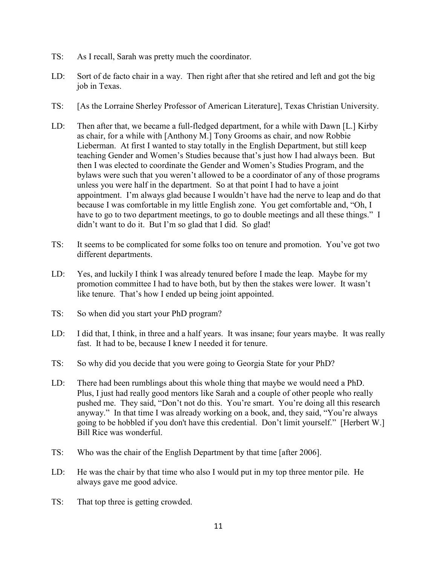- TS: As I recall, Sarah was pretty much the coordinator.
- LD: Sort of de facto chair in a way. Then right after that she retired and left and got the big job in Texas.
- TS: [As the Lorraine Sherley Professor of American Literature], Texas Christian University.
- LD: Then after that, we became a full-fledged department, for a while with Dawn [L.] Kirby as chair, for a while with [Anthony M.] Tony Grooms as chair, and now Robbie Lieberman. At first I wanted to stay totally in the English Department, but still keep teaching Gender and Women's Studies because that's just how I had always been. But then I was elected to coordinate the Gender and Women's Studies Program, and the bylaws were such that you weren't allowed to be a coordinator of any of those programs unless you were half in the department. So at that point I had to have a joint appointment. I'm always glad because I wouldn't have had the nerve to leap and do that because I was comfortable in my little English zone. You get comfortable and, "Oh, I have to go to two department meetings, to go to double meetings and all these things." I didn't want to do it. But I'm so glad that I did. So glad!
- TS: It seems to be complicated for some folks too on tenure and promotion. You've got two different departments.
- LD: Yes, and luckily I think I was already tenured before I made the leap. Maybe for my promotion committee I had to have both, but by then the stakes were lower. It wasn't like tenure. That's how I ended up being joint appointed.
- TS: So when did you start your PhD program?
- LD: I did that, I think, in three and a half years. It was insane; four years maybe. It was really fast. It had to be, because I knew I needed it for tenure.
- TS: So why did you decide that you were going to Georgia State for your PhD?
- LD: There had been rumblings about this whole thing that maybe we would need a PhD. Plus, I just had really good mentors like Sarah and a couple of other people who really pushed me. They said, "Don't not do this. You're smart. You're doing all this research anyway." In that time I was already working on a book, and, they said, "You're always going to be hobbled if you don't have this credential. Don't limit yourself." [Herbert W.] Bill Rice was wonderful.
- TS: Who was the chair of the English Department by that time [after 2006].
- LD: He was the chair by that time who also I would put in my top three mentor pile. He always gave me good advice.
- TS: That top three is getting crowded.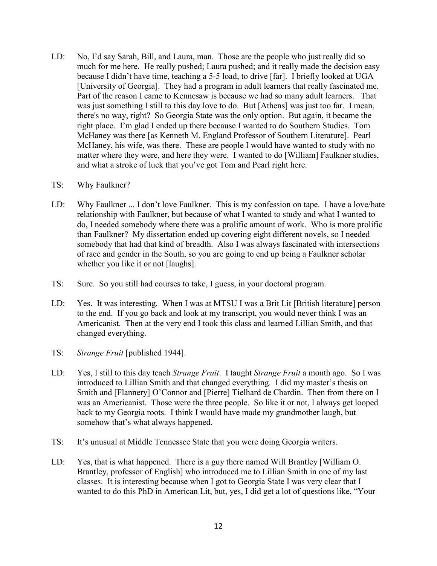LD: No, I'd say Sarah, Bill, and Laura, man. Those are the people who just really did so much for me here. He really pushed; Laura pushed; and it really made the decision easy because I didn't have time, teaching a 5-5 load, to drive [far]. I briefly looked at UGA [University of Georgia]. They had a program in adult learners that really fascinated me. Part of the reason I came to Kennesaw is because we had so many adult learners. That was just something I still to this day love to do. But [Athens] was just too far. I mean, there's no way, right? So Georgia State was the only option. But again, it became the right place. I'm glad I ended up there because I wanted to do Southern Studies. Tom McHaney was there [as Kenneth M. England Professor of Southern Literature]. Pearl McHaney, his wife, was there. These are people I would have wanted to study with no matter where they were, and here they were. I wanted to do [William] Faulkner studies, and what a stroke of luck that you've got Tom and Pearl right here.

#### TS: Why Faulkner?

- LD: Why Faulkner ... I don't love Faulkner. This is my confession on tape. I have a love/hate relationship with Faulkner, but because of what I wanted to study and what I wanted to do, I needed somebody where there was a prolific amount of work. Who is more prolific than Faulkner? My dissertation ended up covering eight different novels, so I needed somebody that had that kind of breadth. Also I was always fascinated with intersections of race and gender in the South, so you are going to end up being a Faulkner scholar whether you like it or not [laughs].
- TS: Sure. So you still had courses to take, I guess, in your doctoral program.
- LD: Yes. It was interesting. When I was at MTSU I was a Brit Lit [British literature] person to the end. If you go back and look at my transcript, you would never think I was an Americanist. Then at the very end I took this class and learned Lillian Smith, and that changed everything.
- TS: *Strange Fruit* [published 1944].
- LD: Yes, I still to this day teach *Strange Fruit*. I taught *Strange Fruit* a month ago. So I was introduced to Lillian Smith and that changed everything. I did my master's thesis on Smith and [Flannery] O'Connor and [Pierre] Tielhard de Chardin. Then from there on I was an Americanist. Those were the three people. So like it or not, I always get looped back to my Georgia roots. I think I would have made my grandmother laugh, but somehow that's what always happened.
- TS: It's unusual at Middle Tennessee State that you were doing Georgia writers.
- LD: Yes, that is what happened. There is a guy there named Will Brantley [William O. Brantley, professor of English] who introduced me to Lillian Smith in one of my last classes. It is interesting because when I got to Georgia State I was very clear that I wanted to do this PhD in American Lit, but, yes, I did get a lot of questions like, "Your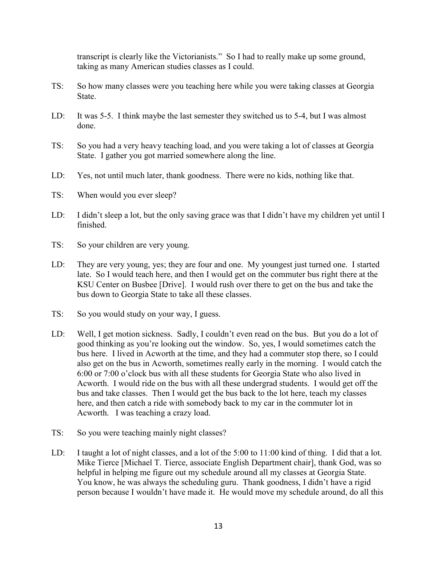transcript is clearly like the Victorianists." So I had to really make up some ground, taking as many American studies classes as I could.

- TS: So how many classes were you teaching here while you were taking classes at Georgia State.
- LD: It was 5-5. I think maybe the last semester they switched us to 5-4, but I was almost done.
- TS: So you had a very heavy teaching load, and you were taking a lot of classes at Georgia State. I gather you got married somewhere along the line.
- LD: Yes, not until much later, thank goodness. There were no kids, nothing like that.
- TS: When would you ever sleep?
- LD: I didn't sleep a lot, but the only saving grace was that I didn't have my children yet until I finished.
- TS: So your children are very young.
- LD: They are very young, yes; they are four and one. My youngest just turned one. I started late. So I would teach here, and then I would get on the commuter bus right there at the KSU Center on Busbee [Drive]. I would rush over there to get on the bus and take the bus down to Georgia State to take all these classes.
- TS: So you would study on your way, I guess.
- LD: Well, I get motion sickness. Sadly, I couldn't even read on the bus. But you do a lot of good thinking as you're looking out the window. So, yes, I would sometimes catch the bus here. I lived in Acworth at the time, and they had a commuter stop there, so I could also get on the bus in Acworth, sometimes really early in the morning. I would catch the 6:00 or 7:00 o'clock bus with all these students for Georgia State who also lived in Acworth. I would ride on the bus with all these undergrad students. I would get off the bus and take classes. Then I would get the bus back to the lot here, teach my classes here, and then catch a ride with somebody back to my car in the commuter lot in Acworth. I was teaching a crazy load.
- TS: So you were teaching mainly night classes?
- LD: I taught a lot of night classes, and a lot of the 5:00 to 11:00 kind of thing. I did that a lot. Mike Tierce [Michael T. Tierce, associate English Department chair], thank God, was so helpful in helping me figure out my schedule around all my classes at Georgia State. You know, he was always the scheduling guru. Thank goodness, I didn't have a rigid person because I wouldn't have made it. He would move my schedule around, do all this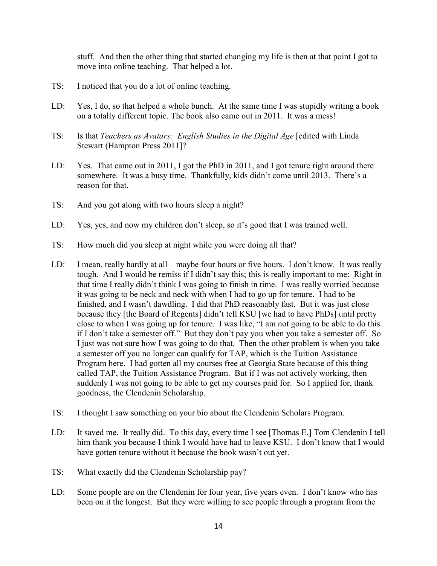stuff. And then the other thing that started changing my life is then at that point I got to move into online teaching. That helped a lot.

- TS: I noticed that you do a lot of online teaching.
- LD: Yes, I do, so that helped a whole bunch. At the same time I was stupidly writing a book on a totally different topic. The book also came out in 2011. It was a mess!
- TS: Is that *Teachers as Avatars: English Studies in the Digital Age* [edited with Linda Stewart (Hampton Press 2011]?
- LD: Yes. That came out in 2011, I got the PhD in 2011, and I got tenure right around there somewhere. It was a busy time. Thankfully, kids didn't come until 2013. There's a reason for that.
- TS: And you got along with two hours sleep a night?
- LD: Yes, yes, and now my children don't sleep, so it's good that I was trained well.
- TS: How much did you sleep at night while you were doing all that?
- LD: I mean, really hardly at all—maybe four hours or five hours. I don't know. It was really tough. And I would be remiss if I didn't say this; this is really important to me: Right in that time I really didn't think I was going to finish in time. I was really worried because it was going to be neck and neck with when I had to go up for tenure. I had to be finished, and I wasn't dawdling. I did that PhD reasonably fast. But it was just close because they [the Board of Regents] didn't tell KSU [we had to have PhDs] until pretty close to when I was going up for tenure. I was like, "I am not going to be able to do this if I don't take a semester off." But they don't pay you when you take a semester off. So I just was not sure how I was going to do that. Then the other problem is when you take a semester off you no longer can qualify for TAP, which is the Tuition Assistance Program here. I had gotten all my courses free at Georgia State because of this thing called TAP, the Tuition Assistance Program. But if I was not actively working, then suddenly I was not going to be able to get my courses paid for. So I applied for, thank goodness, the Clendenin Scholarship.
- TS: I thought I saw something on your bio about the Clendenin Scholars Program.
- LD: It saved me. It really did. To this day, every time I see [Thomas E.] Tom Clendenin I tell him thank you because I think I would have had to leave KSU. I don't know that I would have gotten tenure without it because the book wasn't out yet.
- TS: What exactly did the Clendenin Scholarship pay?
- LD: Some people are on the Clendenin for four year, five years even. I don't know who has been on it the longest. But they were willing to see people through a program from the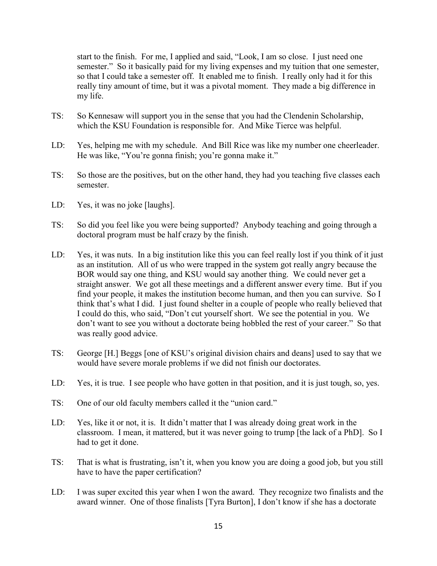start to the finish. For me, I applied and said, "Look, I am so close. I just need one semester." So it basically paid for my living expenses and my tuition that one semester, so that I could take a semester off. It enabled me to finish. I really only had it for this really tiny amount of time, but it was a pivotal moment. They made a big difference in my life.

- TS: So Kennesaw will support you in the sense that you had the Clendenin Scholarship, which the KSU Foundation is responsible for. And Mike Tierce was helpful.
- LD: Yes, helping me with my schedule. And Bill Rice was like my number one cheerleader. He was like, "You're gonna finish; you're gonna make it."
- TS: So those are the positives, but on the other hand, they had you teaching five classes each semester.
- LD: Yes, it was no joke [laughs].
- TS: So did you feel like you were being supported? Anybody teaching and going through a doctoral program must be half crazy by the finish.
- LD: Yes, it was nuts. In a big institution like this you can feel really lost if you think of it just as an institution. All of us who were trapped in the system got really angry because the BOR would say one thing, and KSU would say another thing. We could never get a straight answer. We got all these meetings and a different answer every time. But if you find your people, it makes the institution become human, and then you can survive. So I think that's what I did. I just found shelter in a couple of people who really believed that I could do this, who said, "Don't cut yourself short. We see the potential in you. We don't want to see you without a doctorate being hobbled the rest of your career." So that was really good advice.
- TS: George [H.] Beggs [one of KSU's original division chairs and deans] used to say that we would have severe morale problems if we did not finish our doctorates.
- LD: Yes, it is true. I see people who have gotten in that position, and it is just tough, so, yes.
- TS: One of our old faculty members called it the "union card."
- LD: Yes, like it or not, it is. It didn't matter that I was already doing great work in the classroom. I mean, it mattered, but it was never going to trump [the lack of a PhD]. So I had to get it done.
- TS: That is what is frustrating, isn't it, when you know you are doing a good job, but you still have to have the paper certification?
- LD: I was super excited this year when I won the award. They recognize two finalists and the award winner. One of those finalists [Tyra Burton], I don't know if she has a doctorate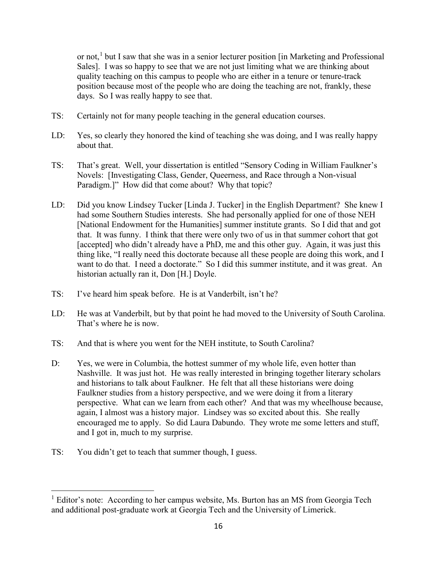or not,<sup>[1](#page-16-0)</sup> but I saw that she was in a senior lecturer position [in Marketing and Professional Sales]. I was so happy to see that we are not just limiting what we are thinking about quality teaching on this campus to people who are either in a tenure or tenure-track position because most of the people who are doing the teaching are not, frankly, these days. So I was really happy to see that.

- TS: Certainly not for many people teaching in the general education courses.
- LD: Yes, so clearly they honored the kind of teaching she was doing, and I was really happy about that.
- TS: That's great. Well, your dissertation is entitled "Sensory Coding in William Faulkner's Novels: [Investigating Class, Gender, Queerness, and Race through a Non-visual Paradigm.]" How did that come about? Why that topic?
- LD: Did you know Lindsey Tucker [Linda J. Tucker] in the English Department? She knew I had some Southern Studies interests. She had personally applied for one of those NEH [National Endowment for the Humanities] summer institute grants. So I did that and got that. It was funny. I think that there were only two of us in that summer cohort that got [accepted] who didn't already have a PhD, me and this other guy. Again, it was just this thing like, "I really need this doctorate because all these people are doing this work, and I want to do that. I need a doctorate." So I did this summer institute, and it was great. An historian actually ran it, Don [H.] Doyle.
- TS: I've heard him speak before. He is at Vanderbilt, isn't he?
- LD: He was at Vanderbilt, but by that point he had moved to the University of South Carolina. That's where he is now.
- TS: And that is where you went for the NEH institute, to South Carolina?
- D: Yes, we were in Columbia, the hottest summer of my whole life, even hotter than Nashville. It was just hot. He was really interested in bringing together literary scholars and historians to talk about Faulkner. He felt that all these historians were doing Faulkner studies from a history perspective, and we were doing it from a literary perspective. What can we learn from each other? And that was my wheelhouse because, again, I almost was a history major. Lindsey was so excited about this. She really encouraged me to apply. So did Laura Dabundo. They wrote me some letters and stuff, and I got in, much to my surprise.
- TS: You didn't get to teach that summer though, I guess.

<span id="page-16-0"></span> $<sup>1</sup>$  Editor's note: According to her campus website, Ms. Burton has an MS from Georgia Tech</sup> and additional post-graduate work at Georgia Tech and the University of Limerick.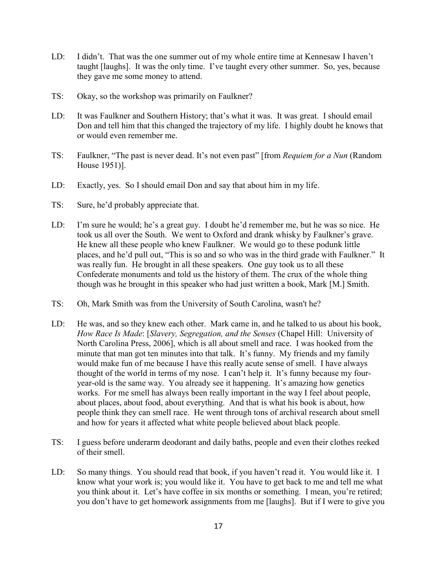- LD: I didn't. That was the one summer out of my whole entire time at Kennesaw I haven't taught [laughs]. It was the only time. I've taught every other summer. So, yes, because they gave me some money to attend.
- TS: Okay, so the workshop was primarily on Faulkner?
- LD: It was Faulkner and Southern History; that's what it was. It was great. I should email Don and tell him that this changed the trajectory of my life. I highly doubt he knows that or would even remember me.
- TS: Faulkner, "The past is never dead. It's not even past" [from *Requiem for a Nun* (Random House 1951)].
- LD: Exactly, yes. So I should email Don and say that about him in my life.
- TS: Sure, he'd probably appreciate that.
- LD: I'm sure he would; he's a great guy. I doubt he'd remember me, but he was so nice. He took us all over the South. We went to Oxford and drank whisky by Faulkner's grave. He knew all these people who knew Faulkner. We would go to these podunk little places, and he'd pull out, "This is so and so who was in the third grade with Faulkner." It was really fun. He brought in all these speakers. One guy took us to all these Confederate monuments and told us the history of them. The crux of the whole thing though was he brought in this speaker who had just written a book, Mark [M.] Smith.
- TS: Oh, Mark Smith was from the University of South Carolina, wasn't he?
- LD: He was, and so they knew each other. Mark came in, and he talked to us about his book, *How Race Is Made*: [*Slavery, Segregation, and the Senses* (Chapel Hill: University of North Carolina Press, 2006], which is all about smell and race. I was hooked from the minute that man got ten minutes into that talk. It's funny. My friends and my family would make fun of me because I have this really acute sense of smell. I have always thought of the world in terms of my nose. I can't help it. It's funny because my fouryear-old is the same way. You already see it happening. It's amazing how genetics works. For me smell has always been really important in the way I feel about people, about places, about food, about everything. And that is what his book is about, how people think they can smell race. He went through tons of archival research about smell and how for years it affected what white people believed about black people.
- TS: I guess before underarm deodorant and daily baths, people and even their clothes reeked of their smell.
- LD: So many things. You should read that book, if you haven't read it. You would like it. I know what your work is; you would like it. You have to get back to me and tell me what you think about it. Let's have coffee in six months or something. I mean, you're retired; you don't have to get homework assignments from me [laughs]. But if I were to give you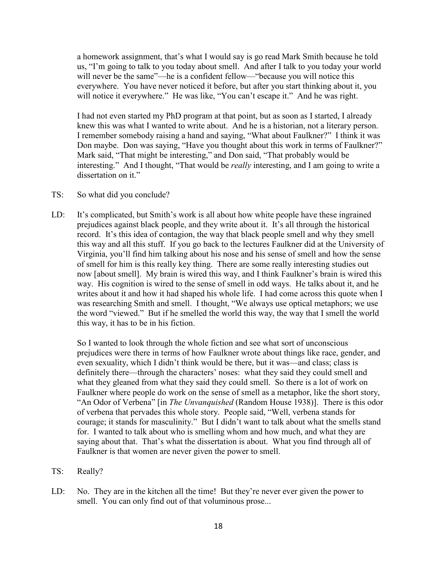a homework assignment, that's what I would say is go read Mark Smith because he told us, "I'm going to talk to you today about smell. And after I talk to you today your world will never be the same"—he is a confident fellow—"because you will notice this everywhere. You have never noticed it before, but after you start thinking about it, you will notice it everywhere." He was like, "You can't escape it." And he was right.

I had not even started my PhD program at that point, but as soon as I started, I already knew this was what I wanted to write about. And he is a historian, not a literary person. I remember somebody raising a hand and saying, "What about Faulkner?" I think it was Don maybe. Don was saying, "Have you thought about this work in terms of Faulkner?" Mark said, "That might be interesting," and Don said, "That probably would be interesting." And I thought, "That would be *really* interesting, and I am going to write a dissertation on it."

- TS: So what did you conclude?
- LD: It's complicated, but Smith's work is all about how white people have these ingrained prejudices against black people, and they write about it. It's all through the historical record. It's this idea of contagion, the way that black people smell and why they smell this way and all this stuff. If you go back to the lectures Faulkner did at the University of Virginia, you'll find him talking about his nose and his sense of smell and how the sense of smell for him is this really key thing. There are some really interesting studies out now [about smell]. My brain is wired this way, and I think Faulkner's brain is wired this way. His cognition is wired to the sense of smell in odd ways. He talks about it, and he writes about it and how it had shaped his whole life. I had come across this quote when I was researching Smith and smell. I thought, "We always use optical metaphors; we use the word "viewed." But if he smelled the world this way, the way that I smell the world this way, it has to be in his fiction.

So I wanted to look through the whole fiction and see what sort of unconscious prejudices were there in terms of how Faulkner wrote about things like race, gender, and even sexuality, which I didn't think would be there, but it was—and class; class is definitely there—through the characters' noses: what they said they could smell and what they gleaned from what they said they could smell. So there is a lot of work on Faulkner where people do work on the sense of smell as a metaphor, like the short story, "An Odor of Verbena" [in *The Unvanquished* (Random House 1938)]. There is this odor of verbena that pervades this whole story. People said, "Well, verbena stands for courage; it stands for masculinity." But I didn't want to talk about what the smells stand for. I wanted to talk about who is smelling whom and how much, and what they are saying about that. That's what the dissertation is about. What you find through all of Faulkner is that women are never given the power to smell.

- TS: Really?
- LD: No. They are in the kitchen all the time! But they're never ever given the power to smell. You can only find out of that voluminous prose...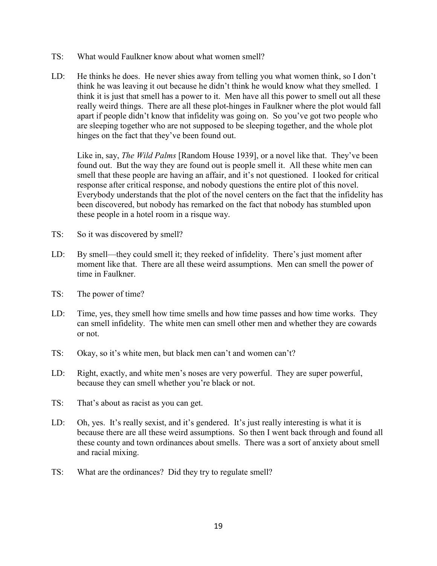- TS: What would Faulkner know about what women smell?
- LD: He thinks he does. He never shies away from telling you what women think, so I don't think he was leaving it out because he didn't think he would know what they smelled. I think it is just that smell has a power to it. Men have all this power to smell out all these really weird things. There are all these plot-hinges in Faulkner where the plot would fall apart if people didn't know that infidelity was going on. So you've got two people who are sleeping together who are not supposed to be sleeping together, and the whole plot hinges on the fact that they've been found out.

Like in, say, *The Wild Palms* [Random House 1939], or a novel like that. They've been found out. But the way they are found out is people smell it. All these white men can smell that these people are having an affair, and it's not questioned. I looked for critical response after critical response, and nobody questions the entire plot of this novel. Everybody understands that the plot of the novel centers on the fact that the infidelity has been discovered, but nobody has remarked on the fact that nobody has stumbled upon these people in a hotel room in a risque way.

- TS: So it was discovered by smell?
- LD: By smell—they could smell it; they reeked of infidelity. There's just moment after moment like that. There are all these weird assumptions. Men can smell the power of time in Faulkner.
- TS: The power of time?
- LD: Time, yes, they smell how time smells and how time passes and how time works. They can smell infidelity. The white men can smell other men and whether they are cowards or not.
- TS: Okay, so it's white men, but black men can't and women can't?
- LD: Right, exactly, and white men's noses are very powerful. They are super powerful, because they can smell whether you're black or not.
- TS: That's about as racist as you can get.
- LD: Oh, yes. It's really sexist, and it's gendered. It's just really interesting is what it is because there are all these weird assumptions. So then I went back through and found all these county and town ordinances about smells. There was a sort of anxiety about smell and racial mixing.
- TS: What are the ordinances? Did they try to regulate smell?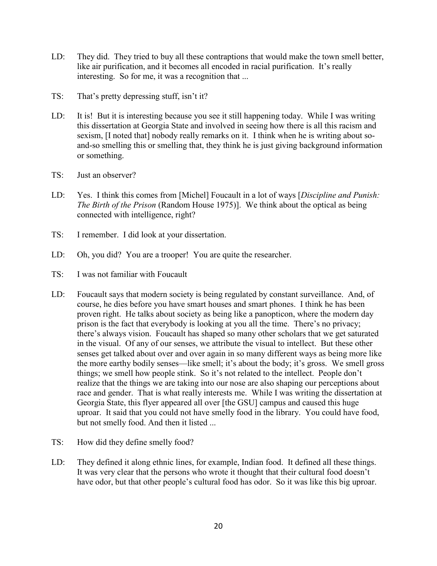- LD: They did. They tried to buy all these contraptions that would make the town smell better, like air purification, and it becomes all encoded in racial purification. It's really interesting. So for me, it was a recognition that ...
- TS: That's pretty depressing stuff, isn't it?
- LD: It is! But it is interesting because you see it still happening today. While I was writing this dissertation at Georgia State and involved in seeing how there is all this racism and sexism, [I noted that] nobody really remarks on it. I think when he is writing about soand-so smelling this or smelling that, they think he is just giving background information or something.
- TS: Just an observer?
- LD: Yes. I think this comes from [Michel] Foucault in a lot of ways [*Discipline and Punish: The Birth of the Prison* (Random House 1975)]. We think about the optical as being connected with intelligence, right?
- TS: I remember. I did look at your dissertation.
- LD: Oh, you did? You are a trooper! You are quite the researcher.
- TS: I was not familiar with Foucault
- LD: Foucault says that modern society is being regulated by constant surveillance. And, of course, he dies before you have smart houses and smart phones. I think he has been proven right. He talks about society as being like a panopticon, where the modern day prison is the fact that everybody is looking at you all the time. There's no privacy; there's always vision. Foucault has shaped so many other scholars that we get saturated in the visual. Of any of our senses, we attribute the visual to intellect. But these other senses get talked about over and over again in so many different ways as being more like the more earthy bodily senses—like smell; it's about the body; it's gross. We smell gross things; we smell how people stink. So it's not related to the intellect. People don't realize that the things we are taking into our nose are also shaping our perceptions about race and gender. That is what really interests me. While I was writing the dissertation at Georgia State, this flyer appeared all over [the GSU] campus and caused this huge uproar. It said that you could not have smelly food in the library. You could have food, but not smelly food. And then it listed ...
- TS: How did they define smelly food?
- LD: They defined it along ethnic lines, for example, Indian food. It defined all these things. It was very clear that the persons who wrote it thought that their cultural food doesn't have odor, but that other people's cultural food has odor. So it was like this big uproar.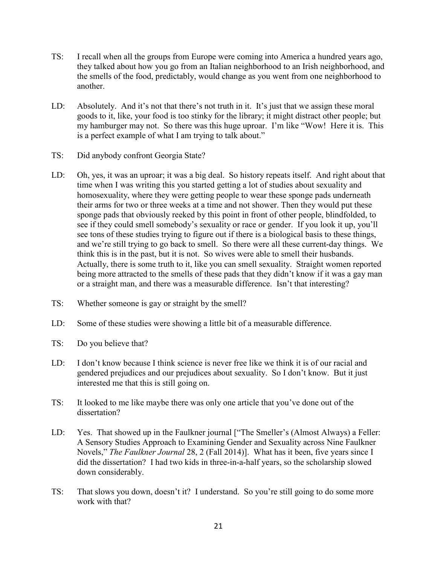- TS: I recall when all the groups from Europe were coming into America a hundred years ago, they talked about how you go from an Italian neighborhood to an Irish neighborhood, and the smells of the food, predictably, would change as you went from one neighborhood to another.
- LD: Absolutely. And it's not that there's not truth in it. It's just that we assign these moral goods to it, like, your food is too stinky for the library; it might distract other people; but my hamburger may not. So there was this huge uproar. I'm like "Wow! Here it is. This is a perfect example of what I am trying to talk about."
- TS: Did anybody confront Georgia State?
- LD: Oh, yes, it was an uproar; it was a big deal. So history repeats itself. And right about that time when I was writing this you started getting a lot of studies about sexuality and homosexuality, where they were getting people to wear these sponge pads underneath their arms for two or three weeks at a time and not shower. Then they would put these sponge pads that obviously reeked by this point in front of other people, blindfolded, to see if they could smell somebody's sexuality or race or gender. If you look it up, you'll see tons of these studies trying to figure out if there is a biological basis to these things, and we're still trying to go back to smell. So there were all these current-day things. We think this is in the past, but it is not. So wives were able to smell their husbands. Actually, there is some truth to it, like you can smell sexuality. Straight women reported being more attracted to the smells of these pads that they didn't know if it was a gay man or a straight man, and there was a measurable difference. Isn't that interesting?
- TS: Whether someone is gay or straight by the smell?
- LD: Some of these studies were showing a little bit of a measurable difference.
- TS: Do you believe that?
- LD: I don't know because I think science is never free like we think it is of our racial and gendered prejudices and our prejudices about sexuality. So I don't know. But it just interested me that this is still going on.
- TS: It looked to me like maybe there was only one article that you've done out of the dissertation?
- LD: Yes. That showed up in the Faulkner journal ["The Smeller's (Almost Always) a Feller: A Sensory Studies Approach to Examining Gender and Sexuality across Nine Faulkner Novels," *The Faulkner Journal* 28, 2 (Fall 2014)]. What has it been, five years since I did the dissertation? I had two kids in three-in-a-half years, so the scholarship slowed down considerably.
- TS: That slows you down, doesn't it? I understand. So you're still going to do some more work with that?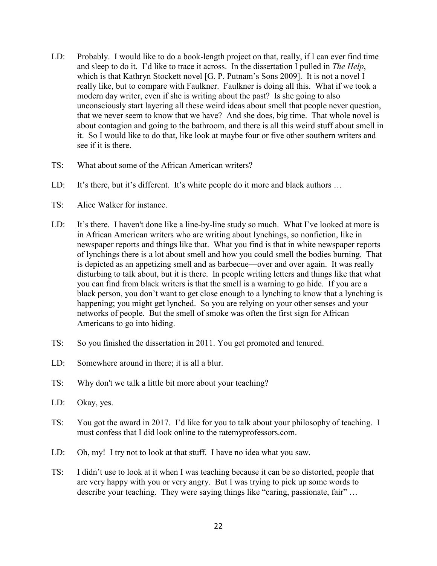- LD: Probably. I would like to do a book-length project on that, really, if I can ever find time and sleep to do it. I'd like to trace it across. In the dissertation I pulled in *The Help*, which is that Kathryn Stockett novel [G. P. Putnam's Sons 2009]. It is not a novel I really like, but to compare with Faulkner. Faulkner is doing all this. What if we took a modern day writer, even if she is writing about the past? Is she going to also unconsciously start layering all these weird ideas about smell that people never question, that we never seem to know that we have? And she does, big time. That whole novel is about contagion and going to the bathroom, and there is all this weird stuff about smell in it. So I would like to do that, like look at maybe four or five other southern writers and see if it is there.
- TS: What about some of the African American writers?
- LD: It's there, but it's different. It's white people do it more and black authors ...
- TS: Alice Walker for instance.
- LD: It's there. I haven't done like a line-by-line study so much. What I've looked at more is in African American writers who are writing about lynchings, so nonfiction, like in newspaper reports and things like that. What you find is that in white newspaper reports of lynchings there is a lot about smell and how you could smell the bodies burning. That is depicted as an appetizing smell and as barbecue—over and over again. It was really disturbing to talk about, but it is there. In people writing letters and things like that what you can find from black writers is that the smell is a warning to go hide. If you are a black person, you don't want to get close enough to a lynching to know that a lynching is happening; you might get lynched. So you are relying on your other senses and your networks of people. But the smell of smoke was often the first sign for African Americans to go into hiding.
- TS: So you finished the dissertation in 2011. You get promoted and tenured.
- LD: Somewhere around in there; it is all a blur.
- TS: Why don't we talk a little bit more about your teaching?
- LD: Okay, yes.
- TS: You got the award in 2017. I'd like for you to talk about your philosophy of teaching. I must confess that I did look online to the ratemyprofessors.com.
- LD: Oh, my! I try not to look at that stuff. I have no idea what you saw.
- TS: I didn't use to look at it when I was teaching because it can be so distorted, people that are very happy with you or very angry. But I was trying to pick up some words to describe your teaching. They were saying things like "caring, passionate, fair" …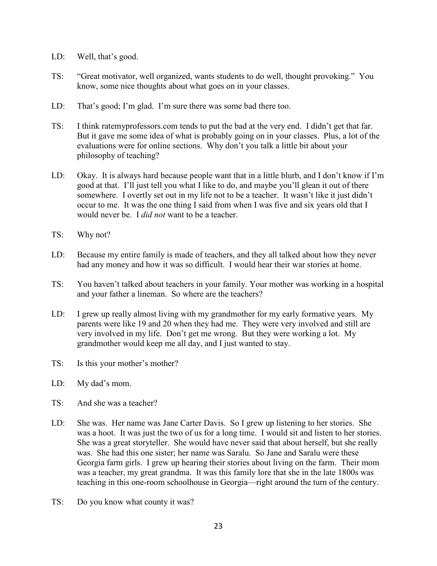- LD: Well, that's good.
- TS: "Great motivator, well organized, wants students to do well, thought provoking." You know, some nice thoughts about what goes on in your classes.
- LD: That's good; I'm glad. I'm sure there was some bad there too.
- TS: I think ratemyprofessors.com tends to put the bad at the very end. I didn't get that far. But it gave me some idea of what is probably going on in your classes. Plus, a lot of the evaluations were for online sections. Why don't you talk a little bit about your philosophy of teaching?
- LD: Okay. It is always hard because people want that in a little blurb, and I don't know if I'm good at that. I'll just tell you what I like to do, and maybe you'll glean it out of there somewhere. I overtly set out in my life not to be a teacher. It wasn't like it just didn't occur to me. It was the one thing I said from when I was five and six years old that I would never be. I *did not* want to be a teacher.
- TS: Why not?
- LD: Because my entire family is made of teachers, and they all talked about how they never had any money and how it was so difficult. I would hear their war stories at home.
- TS: You haven't talked about teachers in your family. Your mother was working in a hospital and your father a lineman. So where are the teachers?
- LD: I grew up really almost living with my grandmother for my early formative years. My parents were like 19 and 20 when they had me. They were very involved and still are very involved in my life. Don't get me wrong. But they were working a lot. My grandmother would keep me all day, and I just wanted to stay.
- TS: Is this your mother's mother?
- LD: My dad's mom.
- TS: And she was a teacher?
- LD: She was. Her name was Jane Carter Davis. So I grew up listening to her stories. She was a hoot. It was just the two of us for a long time. I would sit and listen to her stories. She was a great storyteller. She would have never said that about herself, but she really was. She had this one sister; her name was Saralu. So Jane and Saralu were these Georgia farm girls. I grew up hearing their stories about living on the farm. Their mom was a teacher, my great grandma. It was this family lore that she in the late 1800s was teaching in this one-room schoolhouse in Georgia—right around the turn of the century.
- TS: Do you know what county it was?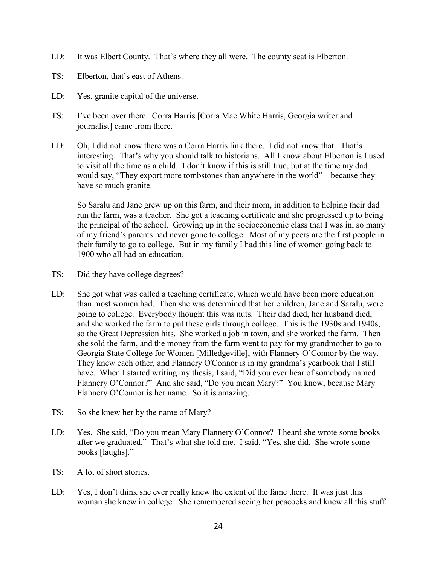- LD: It was Elbert County. That's where they all were. The county seat is Elberton.
- TS: Elberton, that's east of Athens.
- LD: Yes, granite capital of the universe.
- TS: I've been over there. Corra Harris [Corra Mae White Harris, Georgia writer and journalist] came from there.
- LD: Oh, I did not know there was a Corra Harris link there. I did not know that. That's interesting. That's why you should talk to historians. All I know about Elberton is I used to visit all the time as a child. I don't know if this is still true, but at the time my dad would say, "They export more tombstones than anywhere in the world"—because they have so much granite.

So Saralu and Jane grew up on this farm, and their mom, in addition to helping their dad run the farm, was a teacher. She got a teaching certificate and she progressed up to being the principal of the school. Growing up in the socioeconomic class that I was in, so many of my friend's parents had never gone to college. Most of my peers are the first people in their family to go to college. But in my family I had this line of women going back to 1900 who all had an education.

- TS: Did they have college degrees?
- LD: She got what was called a teaching certificate, which would have been more education than most women had. Then she was determined that her children, Jane and Saralu, were going to college. Everybody thought this was nuts. Their dad died, her husband died, and she worked the farm to put these girls through college. This is the 1930s and 1940s, so the Great Depression hits. She worked a job in town, and she worked the farm. Then she sold the farm, and the money from the farm went to pay for my grandmother to go to Georgia State College for Women [Milledgeville], with Flannery O'Connor by the way. They knew each other, and Flannery O'Connor is in my grandma's yearbook that I still have. When I started writing my thesis, I said, "Did you ever hear of somebody named Flannery O'Connor?" And she said, "Do you mean Mary?" You know, because Mary Flannery O'Connor is her name. So it is amazing.
- TS: So she knew her by the name of Mary?
- LD: Yes. She said, "Do you mean Mary Flannery O'Connor? I heard she wrote some books after we graduated." That's what she told me. I said, "Yes, she did. She wrote some books [laughs]."
- TS: A lot of short stories.
- LD: Yes, I don't think she ever really knew the extent of the fame there. It was just this woman she knew in college. She remembered seeing her peacocks and knew all this stuff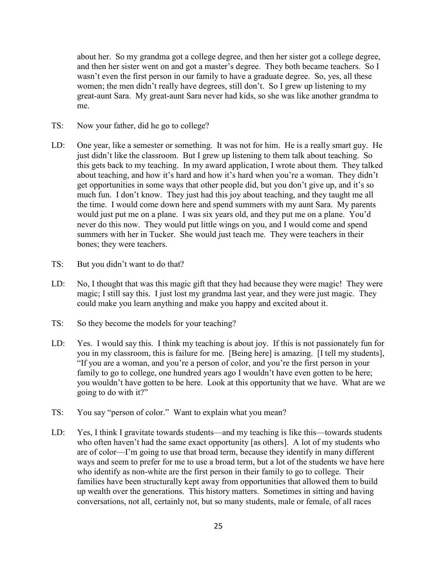about her. So my grandma got a college degree, and then her sister got a college degree, and then her sister went on and got a master's degree. They both became teachers. So I wasn't even the first person in our family to have a graduate degree. So, yes, all these women; the men didn't really have degrees, still don't. So I grew up listening to my great-aunt Sara. My great-aunt Sara never had kids, so she was like another grandma to me.

- TS: Now your father, did he go to college?
- LD: One year, like a semester or something. It was not for him. He is a really smart guy. He just didn't like the classroom. But I grew up listening to them talk about teaching. So this gets back to my teaching. In my award application, I wrote about them. They talked about teaching, and how it's hard and how it's hard when you're a woman. They didn't get opportunities in some ways that other people did, but you don't give up, and it's so much fun. I don't know. They just had this joy about teaching, and they taught me all the time. I would come down here and spend summers with my aunt Sara. My parents would just put me on a plane. I was six years old, and they put me on a plane. You'd never do this now. They would put little wings on you, and I would come and spend summers with her in Tucker. She would just teach me. They were teachers in their bones; they were teachers.
- TS: But you didn't want to do that?
- LD: No, I thought that was this magic gift that they had because they were magic! They were magic; I still say this. I just lost my grandma last year, and they were just magic. They could make you learn anything and make you happy and excited about it.
- TS: So they become the models for your teaching?
- LD: Yes. I would say this. I think my teaching is about joy. If this is not passionately fun for you in my classroom, this is failure for me. [Being here] is amazing. [I tell my students], "If you are a woman, and you're a person of color, and you're the first person in your family to go to college, one hundred years ago I wouldn't have even gotten to be here; you wouldn't have gotten to be here. Look at this opportunity that we have. What are we going to do with it?"
- TS: You say "person of color." Want to explain what you mean?
- LD: Yes, I think I gravitate towards students—and my teaching is like this—towards students who often haven't had the same exact opportunity [as others]. A lot of my students who are of color—I'm going to use that broad term, because they identify in many different ways and seem to prefer for me to use a broad term, but a lot of the students we have here who identify as non-white are the first person in their family to go to college. Their families have been structurally kept away from opportunities that allowed them to build up wealth over the generations. This history matters. Sometimes in sitting and having conversations, not all, certainly not, but so many students, male or female, of all races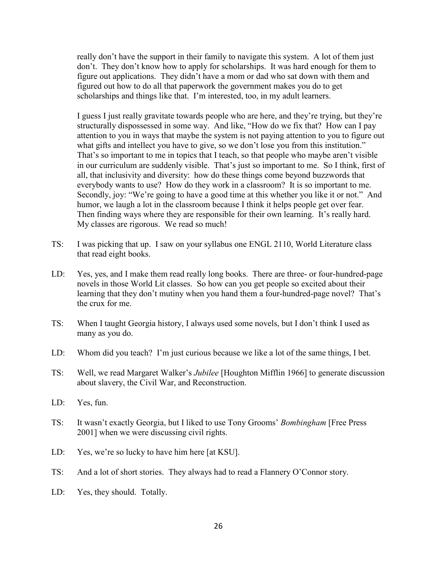really don't have the support in their family to navigate this system. A lot of them just don't. They don't know how to apply for scholarships. It was hard enough for them to figure out applications. They didn't have a mom or dad who sat down with them and figured out how to do all that paperwork the government makes you do to get scholarships and things like that. I'm interested, too, in my adult learners.

I guess I just really gravitate towards people who are here, and they're trying, but they're structurally dispossessed in some way. And like, "How do we fix that? How can I pay attention to you in ways that maybe the system is not paying attention to you to figure out what gifts and intellect you have to give, so we don't lose you from this institution." That's so important to me in topics that I teach, so that people who maybe aren't visible in our curriculum are suddenly visible. That's just so important to me. So I think, first of all, that inclusivity and diversity: how do these things come beyond buzzwords that everybody wants to use? How do they work in a classroom? It is so important to me. Secondly, joy: "We're going to have a good time at this whether you like it or not." And humor, we laugh a lot in the classroom because I think it helps people get over fear. Then finding ways where they are responsible for their own learning. It's really hard. My classes are rigorous. We read so much!

- TS: I was picking that up. I saw on your syllabus one ENGL 2110, World Literature class that read eight books.
- LD: Yes, yes, and I make them read really long books. There are three- or four-hundred-page novels in those World Lit classes. So how can you get people so excited about their learning that they don't mutiny when you hand them a four-hundred-page novel? That's the crux for me.
- TS: When I taught Georgia history, I always used some novels, but I don't think I used as many as you do.
- LD: Whom did you teach? I'm just curious because we like a lot of the same things, I bet.
- TS: Well, we read Margaret Walker's *Jubilee* [Houghton Mifflin 1966] to generate discussion about slavery, the Civil War, and Reconstruction.
- LD: Yes, fun.
- TS: It wasn't exactly Georgia, but I liked to use Tony Grooms' *Bombingham* [Free Press 2001] when we were discussing civil rights.
- LD: Yes, we're so lucky to have him here [at KSU].
- TS: And a lot of short stories. They always had to read a Flannery O'Connor story.
- LD: Yes, they should. Totally.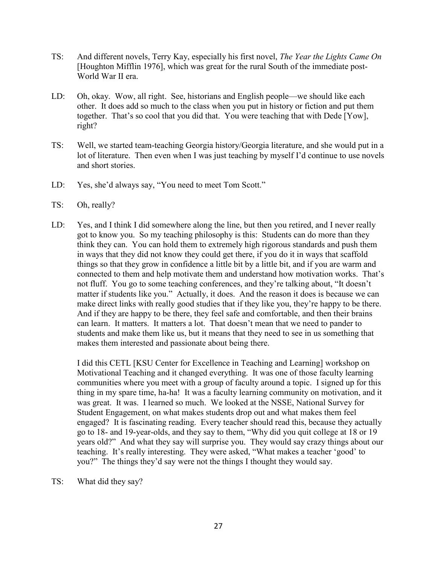- TS: And different novels, Terry Kay, especially his first novel, *The Year the Lights Came On* [Houghton Mifflin 1976], which was great for the rural South of the immediate post-World War II era.
- LD: Oh, okay. Wow, all right. See, historians and English people—we should like each other. It does add so much to the class when you put in history or fiction and put them together. That's so cool that you did that. You were teaching that with Dede [Yow], right?
- TS: Well, we started team-teaching Georgia history/Georgia literature, and she would put in a lot of literature. Then even when I was just teaching by myself I'd continue to use novels and short stories.
- LD: Yes, she'd always say, "You need to meet Tom Scott."
- TS: Oh, really?
- LD: Yes, and I think I did somewhere along the line, but then you retired, and I never really got to know you. So my teaching philosophy is this: Students can do more than they think they can. You can hold them to extremely high rigorous standards and push them in ways that they did not know they could get there, if you do it in ways that scaffold things so that they grow in confidence a little bit by a little bit, and if you are warm and connected to them and help motivate them and understand how motivation works. That's not fluff. You go to some teaching conferences, and they're talking about, "It doesn't matter if students like you." Actually, it does. And the reason it does is because we can make direct links with really good studies that if they like you, they're happy to be there. And if they are happy to be there, they feel safe and comfortable, and then their brains can learn. It matters. It matters a lot. That doesn't mean that we need to pander to students and make them like us, but it means that they need to see in us something that makes them interested and passionate about being there.

I did this CETL [KSU Center for Excellence in Teaching and Learning] workshop on Motivational Teaching and it changed everything. It was one of those faculty learning communities where you meet with a group of faculty around a topic. I signed up for this thing in my spare time, ha-ha! It was a faculty learning community on motivation, and it was great. It was. I learned so much. We looked at the NSSE, National Survey for Student Engagement, on what makes students drop out and what makes them feel engaged? It is fascinating reading. Every teacher should read this, because they actually go to 18- and 19-year-olds, and they say to them, "Why did you quit college at 18 or 19 years old?" And what they say will surprise you. They would say crazy things about our teaching. It's really interesting. They were asked, "What makes a teacher 'good' to you?" The things they'd say were not the things I thought they would say.

TS: What did they say?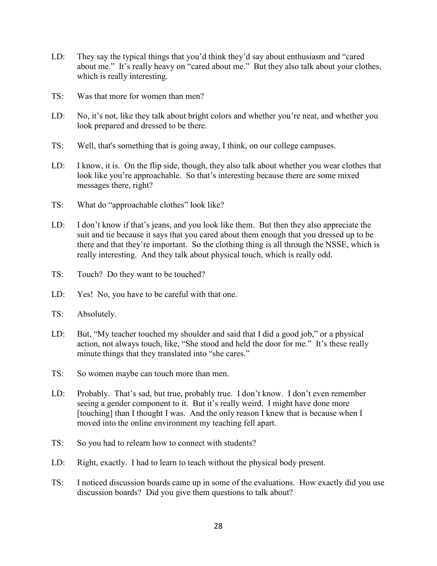- LD: They say the typical things that you'd think they'd say about enthusiasm and "cared about me." It's really heavy on "cared about me." But they also talk about your clothes, which is really interesting.
- TS: Was that more for women than men?
- LD: No, it's not, like they talk about bright colors and whether you're neat, and whether you look prepared and dressed to be there.
- TS: Well, that's something that is going away, I think, on our college campuses.
- LD: I know, it is. On the flip side, though, they also talk about whether you wear clothes that look like you're approachable. So that's interesting because there are some mixed messages there, right?
- TS: What do "approachable clothes" look like?
- LD: I don't know if that's jeans, and you look like them. But then they also appreciate the suit and tie because it says that you cared about them enough that you dressed up to be there and that they're important. So the clothing thing is all through the NSSE, which is really interesting. And they talk about physical touch, which is really odd.
- TS: Touch? Do they want to be touched?
- LD: Yes! No, you have to be careful with that one.
- TS: Absolutely.
- LD: But, "My teacher touched my shoulder and said that I did a good job," or a physical action, not always touch, like, "She stood and held the door for me." It's these really minute things that they translated into "she cares."
- TS: So women maybe can touch more than men.
- LD: Probably. That's sad, but true, probably true. I don't know. I don't even remember seeing a gender component to it. But it's really weird. I might have done more [touching] than I thought I was. And the only reason I knew that is because when I moved into the online environment my teaching fell apart.
- TS: So you had to relearn how to connect with students?
- LD: Right, exactly. I had to learn to teach without the physical body present.
- TS: I noticed discussion boards came up in some of the evaluations. How exactly did you use discussion boards? Did you give them questions to talk about?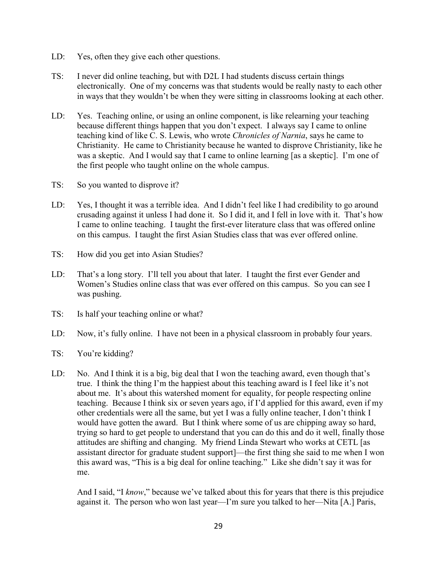- LD: Yes, often they give each other questions.
- TS: I never did online teaching, but with D2L I had students discuss certain things electronically. One of my concerns was that students would be really nasty to each other in ways that they wouldn't be when they were sitting in classrooms looking at each other.
- LD: Yes. Teaching online, or using an online component, is like relearning your teaching because different things happen that you don't expect. I always say I came to online teaching kind of like C. S. Lewis, who wrote *Chronicles of Narnia*, says he came to Christianity. He came to Christianity because he wanted to disprove Christianity, like he was a skeptic. And I would say that I came to online learning [as a skeptic]. I'm one of the first people who taught online on the whole campus.
- TS: So you wanted to disprove it?
- LD: Yes, I thought it was a terrible idea. And I didn't feel like I had credibility to go around crusading against it unless I had done it. So I did it, and I fell in love with it. That's how I came to online teaching. I taught the first-ever literature class that was offered online on this campus. I taught the first Asian Studies class that was ever offered online.
- TS: How did you get into Asian Studies?
- LD: That's a long story. I'll tell you about that later. I taught the first ever Gender and Women's Studies online class that was ever offered on this campus. So you can see I was pushing.
- TS: Is half your teaching online or what?
- LD: Now, it's fully online. I have not been in a physical classroom in probably four years.
- TS: You're kidding?
- LD: No. And I think it is a big, big deal that I won the teaching award, even though that's true. I think the thing I'm the happiest about this teaching award is I feel like it's not about me. It's about this watershed moment for equality, for people respecting online teaching. Because I think six or seven years ago, if I'd applied for this award, even if my other credentials were all the same, but yet I was a fully online teacher, I don't think I would have gotten the award. But I think where some of us are chipping away so hard, trying so hard to get people to understand that you can do this and do it well, finally those attitudes are shifting and changing. My friend Linda Stewart who works at CETL [as assistant director for graduate student support]—the first thing she said to me when I won this award was, "This is a big deal for online teaching." Like she didn't say it was for me.

And I said, "I *know*," because we've talked about this for years that there is this prejudice against it. The person who won last year—I'm sure you talked to her—Nita [A.] Paris,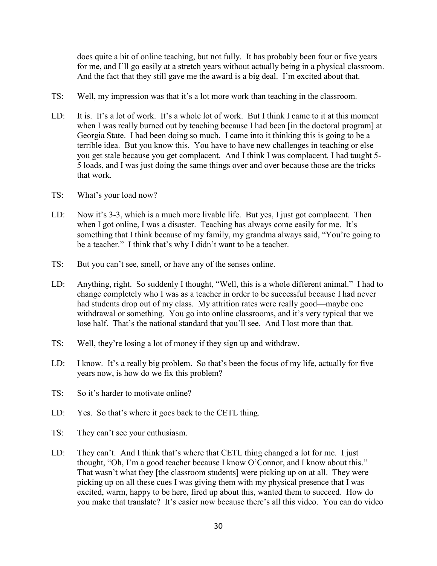does quite a bit of online teaching, but not fully. It has probably been four or five years for me, and I'll go easily at a stretch years without actually being in a physical classroom. And the fact that they still gave me the award is a big deal. I'm excited about that.

- TS: Well, my impression was that it's a lot more work than teaching in the classroom.
- LD: It is. It's a lot of work. It's a whole lot of work. But I think I came to it at this moment when I was really burned out by teaching because I had been [in the doctoral program] at Georgia State. I had been doing so much. I came into it thinking this is going to be a terrible idea. But you know this. You have to have new challenges in teaching or else you get stale because you get complacent. And I think I was complacent. I had taught 5- 5 loads, and I was just doing the same things over and over because those are the tricks that work.
- TS: What's your load now?
- LD: Now it's 3-3, which is a much more livable life. But yes, I just got complacent. Then when I got online, I was a disaster. Teaching has always come easily for me. It's something that I think because of my family, my grandma always said, "You're going to be a teacher." I think that's why I didn't want to be a teacher.
- TS: But you can't see, smell, or have any of the senses online.
- LD: Anything, right. So suddenly I thought, "Well, this is a whole different animal." I had to change completely who I was as a teacher in order to be successful because I had never had students drop out of my class. My attrition rates were really good—maybe one withdrawal or something. You go into online classrooms, and it's very typical that we lose half. That's the national standard that you'll see. And I lost more than that.
- TS: Well, they're losing a lot of money if they sign up and withdraw.
- LD: I know. It's a really big problem. So that's been the focus of my life, actually for five years now, is how do we fix this problem?
- TS: So it's harder to motivate online?
- LD: Yes. So that's where it goes back to the CETL thing.
- TS: They can't see your enthusiasm.
- LD: They can't. And I think that's where that CETL thing changed a lot for me. I just thought, "Oh, I'm a good teacher because I know O'Connor, and I know about this." That wasn't what they [the classroom students] were picking up on at all. They were picking up on all these cues I was giving them with my physical presence that I was excited, warm, happy to be here, fired up about this, wanted them to succeed. How do you make that translate? It's easier now because there's all this video. You can do video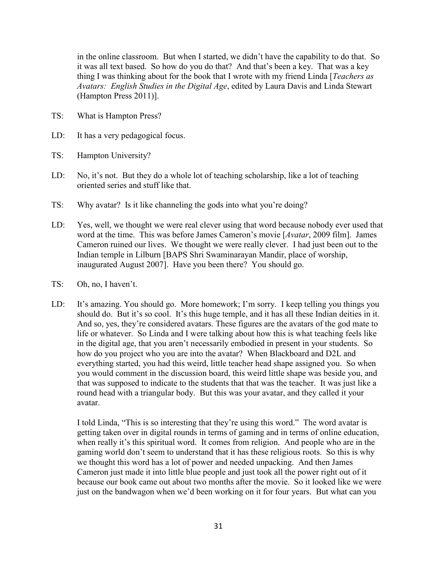in the online classroom. But when I started, we didn't have the capability to do that. So it was all text based. So how do you do that? And that's been a key. That was a key thing I was thinking about for the book that I wrote with my friend Linda [*Teachers as Avatars: English Studies in the Digital Age*, edited by Laura Davis and Linda Stewart (Hampton Press 2011)].

- TS: What is Hampton Press?
- LD: It has a very pedagogical focus.
- TS: Hampton University?
- LD: No, it's not. But they do a whole lot of teaching scholarship, like a lot of teaching oriented series and stuff like that.
- TS: Why avatar? Is it like channeling the gods into what you're doing?
- LD: Yes, well, we thought we were real clever using that word because nobody ever used that word at the time. This was before James Cameron's movie [*Avatar*, 2009 film]. James Cameron ruined our lives. We thought we were really clever. I had just been out to the Indian temple in Lilburn [BAPS Shri Swaminarayan Mandir, place of worship, inaugurated August 2007]. Have you been there? You should go.
- TS: Oh, no, I haven't.
- LD: It's amazing. You should go. More homework; I'm sorry. I keep telling you things you should do. But it's so cool. It's this huge temple, and it has all these Indian deities in it. And so, yes, they're considered avatars. These figures are the avatars of the god mate to life or whatever. So Linda and I were talking about how this is what teaching feels like in the digital age, that you aren't necessarily embodied in present in your students. So how do you project who you are into the avatar? When Blackboard and D2L and everything started, you had this weird, little teacher head shape assigned you. So when you would comment in the discussion board, this weird little shape was beside you, and that was supposed to indicate to the students that that was the teacher. It was just like a round head with a triangular body. But this was your avatar, and they called it your avatar.

I told Linda, "This is so interesting that they're using this word." The word avatar is getting taken over in digital rounds in terms of gaming and in terms of online education, when really it's this spiritual word. It comes from religion. And people who are in the gaming world don't seem to understand that it has these religious roots. So this is why we thought this word has a lot of power and needed unpacking. And then James Cameron just made it into little blue people and just took all the power right out of it because our book came out about two months after the movie. So it looked like we were just on the bandwagon when we'd been working on it for four years. But what can you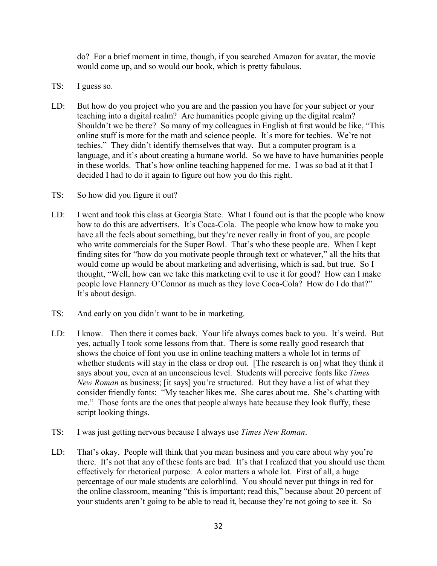do? For a brief moment in time, though, if you searched Amazon for avatar, the movie would come up, and so would our book, which is pretty fabulous.

- TS: I guess so.
- LD: But how do you project who you are and the passion you have for your subject or your teaching into a digital realm? Are humanities people giving up the digital realm? Shouldn't we be there? So many of my colleagues in English at first would be like, "This online stuff is more for the math and science people. It's more for techies. We're not techies." They didn't identify themselves that way. But a computer program is a language, and it's about creating a humane world. So we have to have humanities people in these worlds. That's how online teaching happened for me. I was so bad at it that I decided I had to do it again to figure out how you do this right.
- TS: So how did you figure it out?
- LD: I went and took this class at Georgia State. What I found out is that the people who know how to do this are advertisers. It's Coca-Cola. The people who know how to make you have all the feels about something, but they're never really in front of you, are people who write commercials for the Super Bowl. That's who these people are. When I kept finding sites for "how do you motivate people through text or whatever," all the hits that would come up would be about marketing and advertising, which is sad, but true. So I thought, "Well, how can we take this marketing evil to use it for good? How can I make people love Flannery O'Connor as much as they love Coca-Cola? How do I do that?" It's about design.
- TS: And early on you didn't want to be in marketing.
- LD: I know. Then there it comes back. Your life always comes back to you. It's weird. But yes, actually I took some lessons from that. There is some really good research that shows the choice of font you use in online teaching matters a whole lot in terms of whether students will stay in the class or drop out. [The research is on] what they think it says about you, even at an unconscious level. Students will perceive fonts like *Times New Roman* as business; [it says] you're structured. But they have a list of what they consider friendly fonts: "My teacher likes me. She cares about me. She's chatting with me." Those fonts are the ones that people always hate because they look fluffy, these script looking things.
- TS: I was just getting nervous because I always use *Times New Roman*.
- LD: That's okay. People will think that you mean business and you care about why you're there. It's not that any of these fonts are bad. It's that I realized that you should use them effectively for rhetorical purpose. A color matters a whole lot. First of all, a huge percentage of our male students are colorblind. You should never put things in red for the online classroom, meaning "this is important; read this," because about 20 percent of your students aren't going to be able to read it, because they're not going to see it. So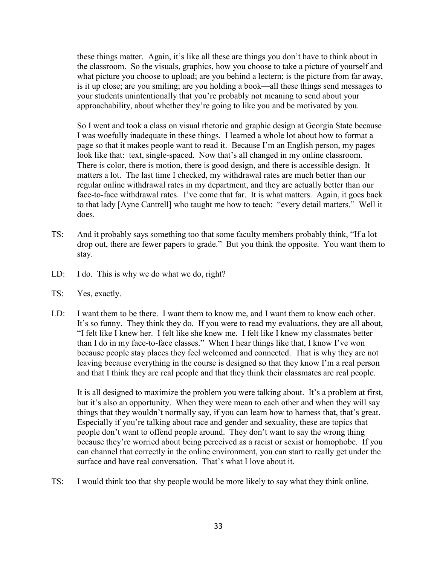these things matter. Again, it's like all these are things you don't have to think about in the classroom. So the visuals, graphics, how you choose to take a picture of yourself and what picture you choose to upload; are you behind a lectern; is the picture from far away, is it up close; are you smiling; are you holding a book—all these things send messages to your students unintentionally that you're probably not meaning to send about your approachability, about whether they're going to like you and be motivated by you.

So I went and took a class on visual rhetoric and graphic design at Georgia State because I was woefully inadequate in these things. I learned a whole lot about how to format a page so that it makes people want to read it. Because I'm an English person, my pages look like that: text, single-spaced. Now that's all changed in my online classroom. There is color, there is motion, there is good design, and there is accessible design. It matters a lot. The last time I checked, my withdrawal rates are much better than our regular online withdrawal rates in my department, and they are actually better than our face-to-face withdrawal rates. I've come that far. It is what matters. Again, it goes back to that lady [Ayne Cantrell] who taught me how to teach: "every detail matters." Well it does.

- TS: And it probably says something too that some faculty members probably think, "If a lot drop out, there are fewer papers to grade." But you think the opposite. You want them to stay.
- LD: I do. This is why we do what we do, right?
- TS: Yes, exactly.
- LD: I want them to be there. I want them to know me, and I want them to know each other. It's so funny. They think they do. If you were to read my evaluations, they are all about, "I felt like I knew her. I felt like she knew me. I felt like I knew my classmates better than I do in my face-to-face classes." When I hear things like that, I know I've won because people stay places they feel welcomed and connected. That is why they are not leaving because everything in the course is designed so that they know I'm a real person and that I think they are real people and that they think their classmates are real people.

It is all designed to maximize the problem you were talking about. It's a problem at first, but it's also an opportunity. When they were mean to each other and when they will say things that they wouldn't normally say, if you can learn how to harness that, that's great. Especially if you're talking about race and gender and sexuality, these are topics that people don't want to offend people around. They don't want to say the wrong thing because they're worried about being perceived as a racist or sexist or homophobe. If you can channel that correctly in the online environment, you can start to really get under the surface and have real conversation. That's what I love about it.

TS: I would think too that shy people would be more likely to say what they think online.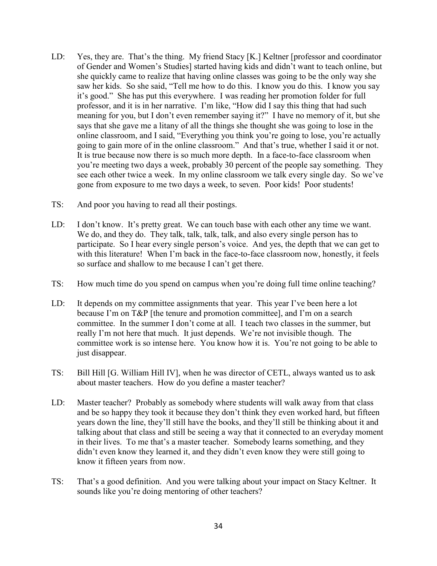- LD: Yes, they are. That's the thing. My friend Stacy [K.] Keltner [professor and coordinator of Gender and Women's Studies] started having kids and didn't want to teach online, but she quickly came to realize that having online classes was going to be the only way she saw her kids. So she said, "Tell me how to do this. I know you do this. I know you say it's good." She has put this everywhere. I was reading her promotion folder for full professor, and it is in her narrative. I'm like, "How did I say this thing that had such meaning for you, but I don't even remember saying it?" I have no memory of it, but she says that she gave me a litany of all the things she thought she was going to lose in the online classroom, and I said, "Everything you think you're going to lose, you're actually going to gain more of in the online classroom." And that's true, whether I said it or not. It is true because now there is so much more depth. In a face-to-face classroom when you're meeting two days a week, probably 30 percent of the people say something. They see each other twice a week. In my online classroom we talk every single day. So we've gone from exposure to me two days a week, to seven. Poor kids! Poor students!
- TS: And poor you having to read all their postings.
- LD: I don't know. It's pretty great. We can touch base with each other any time we want. We do, and they do. They talk, talk, talk, talk, and also every single person has to participate. So I hear every single person's voice. And yes, the depth that we can get to with this literature! When I'm back in the face-to-face classroom now, honestly, it feels so surface and shallow to me because I can't get there.
- TS: How much time do you spend on campus when you're doing full time online teaching?
- LD: It depends on my committee assignments that year. This year I've been here a lot because I'm on T&P [the tenure and promotion committee], and I'm on a search committee. In the summer I don't come at all. I teach two classes in the summer, but really I'm not here that much. It just depends. We're not invisible though. The committee work is so intense here. You know how it is. You're not going to be able to just disappear.
- TS: Bill Hill [G. William Hill IV], when he was director of CETL, always wanted us to ask about master teachers. How do you define a master teacher?
- LD: Master teacher? Probably as somebody where students will walk away from that class and be so happy they took it because they don't think they even worked hard, but fifteen years down the line, they'll still have the books, and they'll still be thinking about it and talking about that class and still be seeing a way that it connected to an everyday moment in their lives. To me that's a master teacher. Somebody learns something, and they didn't even know they learned it, and they didn't even know they were still going to know it fifteen years from now.
- TS: That's a good definition. And you were talking about your impact on Stacy Keltner. It sounds like you're doing mentoring of other teachers?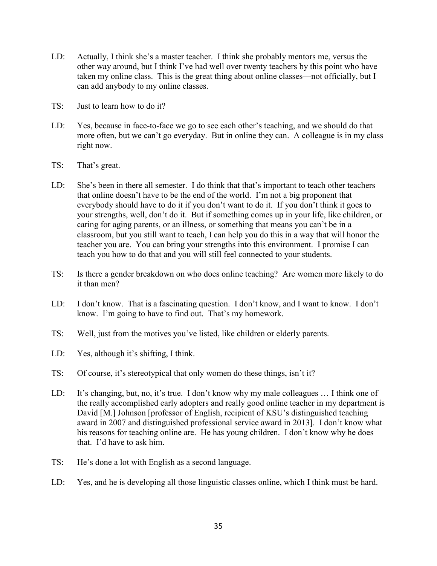- LD: Actually, I think she's a master teacher. I think she probably mentors me, versus the other way around, but I think I've had well over twenty teachers by this point who have taken my online class. This is the great thing about online classes—not officially, but I can add anybody to my online classes.
- TS: Just to learn how to do it?
- LD: Yes, because in face-to-face we go to see each other's teaching, and we should do that more often, but we can't go everyday. But in online they can. A colleague is in my class right now.
- TS: That's great.
- LD: She's been in there all semester. I do think that that's important to teach other teachers that online doesn't have to be the end of the world. I'm not a big proponent that everybody should have to do it if you don't want to do it. If you don't think it goes to your strengths, well, don't do it. But if something comes up in your life, like children, or caring for aging parents, or an illness, or something that means you can't be in a classroom, but you still want to teach, I can help you do this in a way that will honor the teacher you are. You can bring your strengths into this environment. I promise I can teach you how to do that and you will still feel connected to your students.
- TS: Is there a gender breakdown on who does online teaching? Are women more likely to do it than men?
- LD: I don't know. That is a fascinating question. I don't know, and I want to know. I don't know. I'm going to have to find out. That's my homework.
- TS: Well, just from the motives you've listed, like children or elderly parents.
- LD: Yes, although it's shifting, I think.
- TS: Of course, it's stereotypical that only women do these things, isn't it?
- LD: It's changing, but, no, it's true. I don't know why my male colleagues ... I think one of the really accomplished early adopters and really good online teacher in my department is David [M.] Johnson [professor of English, recipient of KSU's distinguished teaching award in 2007 and distinguished professional service award in 2013]. I don't know what his reasons for teaching online are. He has young children. I don't know why he does that. I'd have to ask him.
- TS: He's done a lot with English as a second language.
- LD: Yes, and he is developing all those linguistic classes online, which I think must be hard.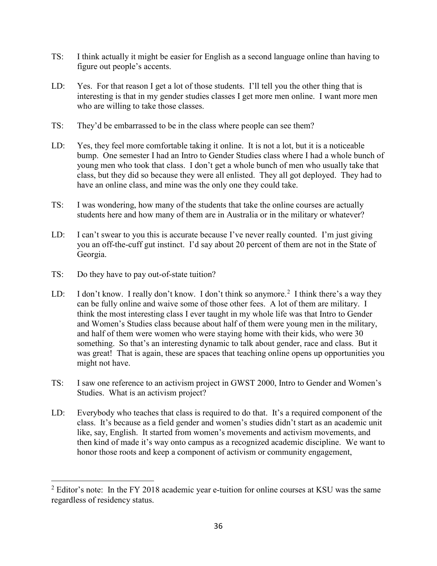- TS: I think actually it might be easier for English as a second language online than having to figure out people's accents.
- LD: Yes. For that reason I get a lot of those students. I'll tell you the other thing that is interesting is that in my gender studies classes I get more men online. I want more men who are willing to take those classes.
- TS: They'd be embarrassed to be in the class where people can see them?
- LD: Yes, they feel more comfortable taking it online. It is not a lot, but it is a noticeable bump. One semester I had an Intro to Gender Studies class where I had a whole bunch of young men who took that class. I don't get a whole bunch of men who usually take that class, but they did so because they were all enlisted. They all got deployed. They had to have an online class, and mine was the only one they could take.
- TS: I was wondering, how many of the students that take the online courses are actually students here and how many of them are in Australia or in the military or whatever?
- LD: I can't swear to you this is accurate because I've never really counted. I'm just giving you an off-the-cuff gut instinct. I'd say about 20 percent of them are not in the State of Georgia.
- TS: Do they have to pay out-of-state tuition?
- LD: I don't know. I really don't know. I don't think so anymore.<sup>[2](#page-36-0)</sup> I think there's a way they can be fully online and waive some of those other fees. A lot of them are military. I think the most interesting class I ever taught in my whole life was that Intro to Gender and Women's Studies class because about half of them were young men in the military, and half of them were women who were staying home with their kids, who were 30 something. So that's an interesting dynamic to talk about gender, race and class. But it was great! That is again, these are spaces that teaching online opens up opportunities you might not have.
- TS: I saw one reference to an activism project in GWST 2000, Intro to Gender and Women's Studies. What is an activism project?
- LD: Everybody who teaches that class is required to do that. It's a required component of the class. It's because as a field gender and women's studies didn't start as an academic unit like, say, English. It started from women's movements and activism movements, and then kind of made it's way onto campus as a recognized academic discipline. We want to honor those roots and keep a component of activism or community engagement,

<span id="page-36-0"></span> $2$  Editor's note: In the FY 2018 academic year e-tuition for online courses at KSU was the same regardless of residency status.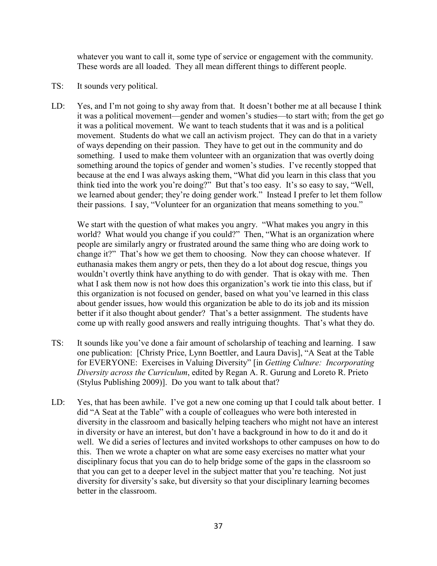whatever you want to call it, some type of service or engagement with the community. These words are all loaded. They all mean different things to different people.

- TS: It sounds very political.
- LD: Yes, and I'm not going to shy away from that. It doesn't bother me at all because I think it was a political movement—gender and women's studies—to start with; from the get go it was a political movement. We want to teach students that it was and is a political movement. Students do what we call an activism project. They can do that in a variety of ways depending on their passion. They have to get out in the community and do something. I used to make them volunteer with an organization that was overtly doing something around the topics of gender and women's studies. I've recently stopped that because at the end I was always asking them, "What did you learn in this class that you think tied into the work you're doing?" But that's too easy. It's so easy to say, "Well, we learned about gender; they're doing gender work." Instead I prefer to let them follow their passions. I say, "Volunteer for an organization that means something to you."

We start with the question of what makes you angry. "What makes you angry in this world? What would you change if you could?" Then, "What is an organization where people are similarly angry or frustrated around the same thing who are doing work to change it?" That's how we get them to choosing. Now they can choose whatever. If euthanasia makes them angry or pets, then they do a lot about dog rescue, things you wouldn't overtly think have anything to do with gender. That is okay with me. Then what I ask them now is not how does this organization's work tie into this class, but if this organization is not focused on gender, based on what you've learned in this class about gender issues, how would this organization be able to do its job and its mission better if it also thought about gender? That's a better assignment. The students have come up with really good answers and really intriguing thoughts. That's what they do.

- TS: It sounds like you've done a fair amount of scholarship of teaching and learning. I saw one publication: [Christy Price, Lynn Boettler, and Laura Davis], "A Seat at the Table for EVERYONE: Exercises in Valuing Diversity" [in *Getting Culture: Incorporating Diversity across the Curriculum*, edited by Regan A. R. Gurung and Loreto R. Prieto (Stylus Publishing 2009)]. Do you want to talk about that?
- LD: Yes, that has been awhile. I've got a new one coming up that I could talk about better. I did "A Seat at the Table" with a couple of colleagues who were both interested in diversity in the classroom and basically helping teachers who might not have an interest in diversity or have an interest, but don't have a background in how to do it and do it well. We did a series of lectures and invited workshops to other campuses on how to do this. Then we wrote a chapter on what are some easy exercises no matter what your disciplinary focus that you can do to help bridge some of the gaps in the classroom so that you can get to a deeper level in the subject matter that you're teaching. Not just diversity for diversity's sake, but diversity so that your disciplinary learning becomes better in the classroom.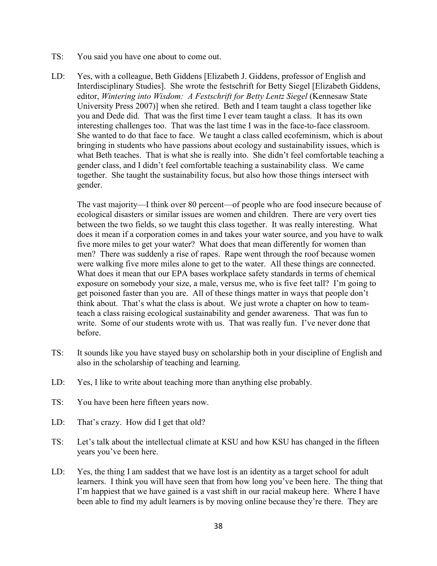- TS: You said you have one about to come out.
- LD: Yes, with a colleague, Beth Giddens [Elizabeth J. Giddens, professor of English and Interdisciplinary Studies]. She wrote the festschrift for Betty Siegel [Elizabeth Giddens, editor, *Wintering into Wisdom: A Festschrift for Betty Lentz Siegel* (Kennesaw State University Press 2007)] when she retired. Beth and I team taught a class together like you and Dede did. That was the first time I ever team taught a class. It has its own interesting challenges too. That was the last time I was in the face-to-face classroom. She wanted to do that face to face. We taught a class called ecofeminism, which is about bringing in students who have passions about ecology and sustainability issues, which is what Beth teaches. That is what she is really into. She didn't feel comfortable teaching a gender class, and I didn't feel comfortable teaching a sustainability class. We came together. She taught the sustainability focus, but also how those things intersect with gender.

The vast majority—I think over 80 percent—of people who are food insecure because of ecological disasters or similar issues are women and children. There are very overt ties between the two fields, so we taught this class together. It was really interesting. What does it mean if a corporation comes in and takes your water source, and you have to walk five more miles to get your water? What does that mean differently for women than men? There was suddenly a rise of rapes. Rape went through the roof because women were walking five more miles alone to get to the water. All these things are connected. What does it mean that our EPA bases workplace safety standards in terms of chemical exposure on somebody your size, a male, versus me, who is five feet tall? I'm going to get poisoned faster than you are. All of these things matter in ways that people don't think about. That's what the class is about. We just wrote a chapter on how to teamteach a class raising ecological sustainability and gender awareness. That was fun to write. Some of our students wrote with us. That was really fun. I've never done that before.

- TS: It sounds like you have stayed busy on scholarship both in your discipline of English and also in the scholarship of teaching and learning.
- LD: Yes, I like to write about teaching more than anything else probably.
- TS: You have been here fifteen years now.
- LD: That's crazy. How did I get that old?
- TS: Let's talk about the intellectual climate at KSU and how KSU has changed in the fifteen years you've been here.
- LD: Yes, the thing I am saddest that we have lost is an identity as a target school for adult learners. I think you will have seen that from how long you've been here. The thing that I'm happiest that we have gained is a vast shift in our racial makeup here. Where I have been able to find my adult learners is by moving online because they're there. They are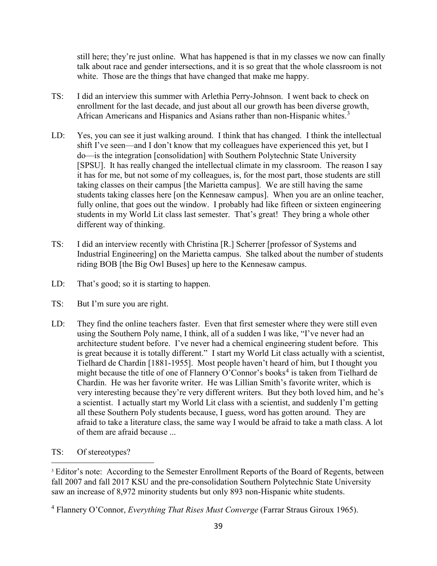still here; they're just online. What has happened is that in my classes we now can finally talk about race and gender intersections, and it is so great that the whole classroom is not white. Those are the things that have changed that make me happy.

- TS: I did an interview this summer with Arlethia Perry-Johnson. I went back to check on enrollment for the last decade, and just about all our growth has been diverse growth, African Americans and Hispanics and Asians rather than non-Hispanic whites.<sup>[3](#page-39-0)</sup>
- LD: Yes, you can see it just walking around. I think that has changed. I think the intellectual shift I've seen—and I don't know that my colleagues have experienced this yet, but I do—is the integration [consolidation] with Southern Polytechnic State University [SPSU]. It has really changed the intellectual climate in my classroom. The reason I say it has for me, but not some of my colleagues, is, for the most part, those students are still taking classes on their campus [the Marietta campus]. We are still having the same students taking classes here [on the Kennesaw campus]. When you are an online teacher, fully online, that goes out the window. I probably had like fifteen or sixteen engineering students in my World Lit class last semester. That's great! They bring a whole other different way of thinking.
- TS: I did an interview recently with Christina [R.] Scherrer [professor of Systems and Industrial Engineering] on the Marietta campus. She talked about the number of students riding BOB [the Big Owl Buses] up here to the Kennesaw campus.
- LD: That's good; so it is starting to happen.
- TS: But I'm sure you are right.
- LD: They find the online teachers faster. Even that first semester where they were still even using the Southern Poly name, I think, all of a sudden I was like, "I've never had an architecture student before. I've never had a chemical engineering student before. This is great because it is totally different." I start my World Lit class actually with a scientist, Tielhard de Chardin [1881-1955]. Most people haven't heard of him, but I thought you might because the title of one of Flannery O'Connor's books<sup>[4](#page-39-1)</sup> is taken from Tielhard de Chardin. He was her favorite writer. He was Lillian Smith's favorite writer, which is very interesting because they're very different writers. But they both loved him, and he's a scientist. I actually start my World Lit class with a scientist, and suddenly I'm getting all these Southern Poly students because, I guess, word has gotten around. They are afraid to take a literature class, the same way I would be afraid to take a math class. A lot of them are afraid because ...
- TS: Of stereotypes?

<span id="page-39-0"></span><sup>3</sup> Editor's note: According to the Semester Enrollment Reports of the Board of Regents, between fall 2007 and fall 2017 KSU and the pre-consolidation Southern Polytechnic State University saw an increase of 8,972 minority students but only 893 non-Hispanic white students.

<span id="page-39-1"></span><sup>4</sup> Flannery O'Connor, *Everything That Rises Must Converge* (Farrar Straus Giroux 1965).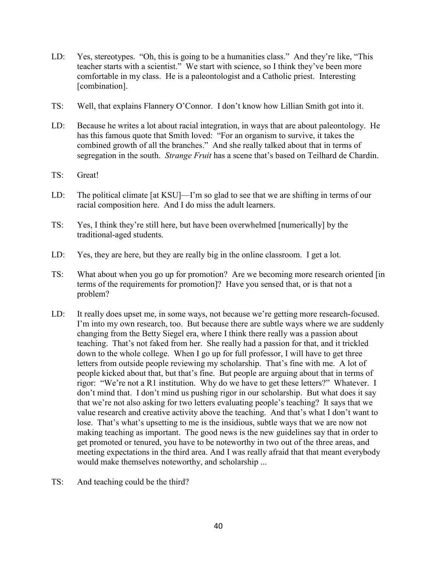- LD: Yes, stereotypes. "Oh, this is going to be a humanities class." And they're like, "This teacher starts with a scientist." We start with science, so I think they've been more comfortable in my class. He is a paleontologist and a Catholic priest. Interesting [combination].
- TS: Well, that explains Flannery O'Connor. I don't know how Lillian Smith got into it.
- LD: Because he writes a lot about racial integration, in ways that are about paleontology. He has this famous quote that Smith loved: "For an organism to survive, it takes the combined growth of all the branches." And she really talked about that in terms of segregation in the south. *Strange Fruit* has a scene that's based on Teilhard de Chardin.
- TS: Great!
- LD: The political climate [at KSU]—I'm so glad to see that we are shifting in terms of our racial composition here. And I do miss the adult learners.
- TS: Yes, I think they're still here, but have been overwhelmed [numerically] by the traditional-aged students.
- LD: Yes, they are here, but they are really big in the online classroom. I get a lot.
- TS: What about when you go up for promotion? Are we becoming more research oriented [in terms of the requirements for promotion]? Have you sensed that, or is that not a problem?
- LD: It really does upset me, in some ways, not because we're getting more research-focused. I'm into my own research, too. But because there are subtle ways where we are suddenly changing from the Betty Siegel era, where I think there really was a passion about teaching. That's not faked from her. She really had a passion for that, and it trickled down to the whole college. When I go up for full professor, I will have to get three letters from outside people reviewing my scholarship. That's fine with me. A lot of people kicked about that, but that's fine. But people are arguing about that in terms of rigor: "We're not a R1 institution. Why do we have to get these letters?" Whatever. I don't mind that. I don't mind us pushing rigor in our scholarship. But what does it say that we're not also asking for two letters evaluating people's teaching? It says that we value research and creative activity above the teaching. And that's what I don't want to lose. That's what's upsetting to me is the insidious, subtle ways that we are now not making teaching as important. The good news is the new guidelines say that in order to get promoted or tenured, you have to be noteworthy in two out of the three areas, and meeting expectations in the third area. And I was really afraid that that meant everybody would make themselves noteworthy, and scholarship ...
- TS: And teaching could be the third?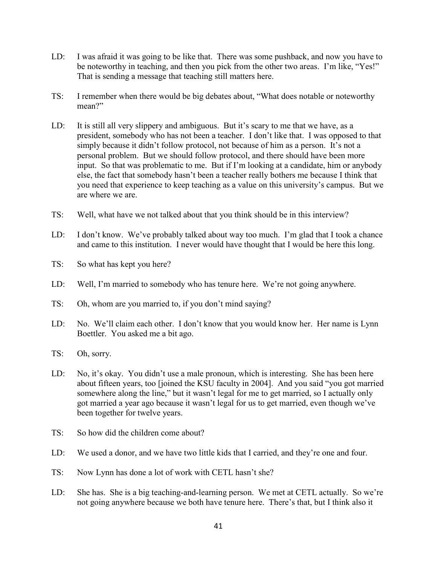- LD: I was afraid it was going to be like that. There was some pushback, and now you have to be noteworthy in teaching, and then you pick from the other two areas. I'm like, "Yes!" That is sending a message that teaching still matters here.
- TS: I remember when there would be big debates about, "What does notable or noteworthy mean?"
- LD: It is still all very slippery and ambiguous. But it's scary to me that we have, as a president, somebody who has not been a teacher. I don't like that. I was opposed to that simply because it didn't follow protocol, not because of him as a person. It's not a personal problem. But we should follow protocol, and there should have been more input. So that was problematic to me. But if I'm looking at a candidate, him or anybody else, the fact that somebody hasn't been a teacher really bothers me because I think that you need that experience to keep teaching as a value on this university's campus. But we are where we are.
- TS: Well, what have we not talked about that you think should be in this interview?
- LD: I don't know. We've probably talked about way too much. I'm glad that I took a chance and came to this institution. I never would have thought that I would be here this long.
- TS: So what has kept you here?
- LD: Well, I'm married to somebody who has tenure here. We're not going anywhere.
- TS: Oh, whom are you married to, if you don't mind saying?
- LD: No. We'll claim each other. I don't know that you would know her. Her name is Lynn Boettler. You asked me a bit ago.
- TS: Oh, sorry.
- LD: No, it's okay. You didn't use a male pronoun, which is interesting. She has been here about fifteen years, too [joined the KSU faculty in 2004]. And you said "you got married somewhere along the line," but it wasn't legal for me to get married, so I actually only got married a year ago because it wasn't legal for us to get married, even though we've been together for twelve years.
- TS: So how did the children come about?
- LD: We used a donor, and we have two little kids that I carried, and they're one and four.
- TS: Now Lynn has done a lot of work with CETL hasn't she?
- LD: She has. She is a big teaching-and-learning person. We met at CETL actually. So we're not going anywhere because we both have tenure here. There's that, but I think also it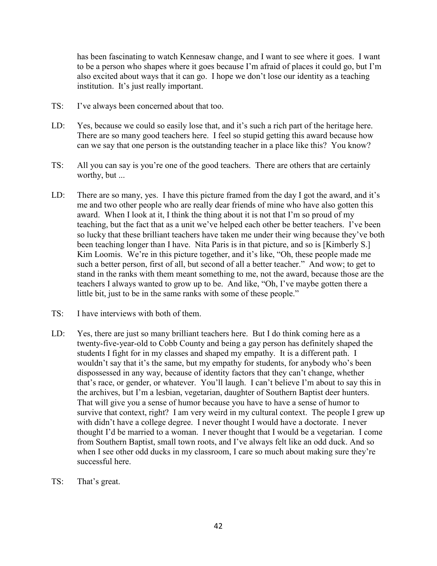has been fascinating to watch Kennesaw change, and I want to see where it goes. I want to be a person who shapes where it goes because I'm afraid of places it could go, but I'm also excited about ways that it can go. I hope we don't lose our identity as a teaching institution. It's just really important.

- TS: I've always been concerned about that too.
- LD: Yes, because we could so easily lose that, and it's such a rich part of the heritage here. There are so many good teachers here. I feel so stupid getting this award because how can we say that one person is the outstanding teacher in a place like this? You know?
- TS: All you can say is you're one of the good teachers. There are others that are certainly worthy, but ...
- LD: There are so many, yes. I have this picture framed from the day I got the award, and it's me and two other people who are really dear friends of mine who have also gotten this award. When I look at it, I think the thing about it is not that I'm so proud of my teaching, but the fact that as a unit we've helped each other be better teachers. I've been so lucky that these brilliant teachers have taken me under their wing because they've both been teaching longer than I have. Nita Paris is in that picture, and so is [Kimberly S.] Kim Loomis. We're in this picture together, and it's like, "Oh, these people made me such a better person, first of all, but second of all a better teacher." And wow; to get to stand in the ranks with them meant something to me, not the award, because those are the teachers I always wanted to grow up to be. And like, "Oh, I've maybe gotten there a little bit, just to be in the same ranks with some of these people."
- TS: I have interviews with both of them.
- LD: Yes, there are just so many brilliant teachers here. But I do think coming here as a twenty-five-year-old to Cobb County and being a gay person has definitely shaped the students I fight for in my classes and shaped my empathy. It is a different path. I wouldn't say that it's the same, but my empathy for students, for anybody who's been dispossessed in any way, because of identity factors that they can't change, whether that's race, or gender, or whatever. You'll laugh. I can't believe I'm about to say this in the archives, but I'm a lesbian, vegetarian, daughter of Southern Baptist deer hunters. That will give you a sense of humor because you have to have a sense of humor to survive that context, right? I am very weird in my cultural context. The people I grew up with didn't have a college degree. I never thought I would have a doctorate. I never thought I'd be married to a woman. I never thought that I would be a vegetarian. I come from Southern Baptist, small town roots, and I've always felt like an odd duck. And so when I see other odd ducks in my classroom, I care so much about making sure they're successful here.
- TS: That's great.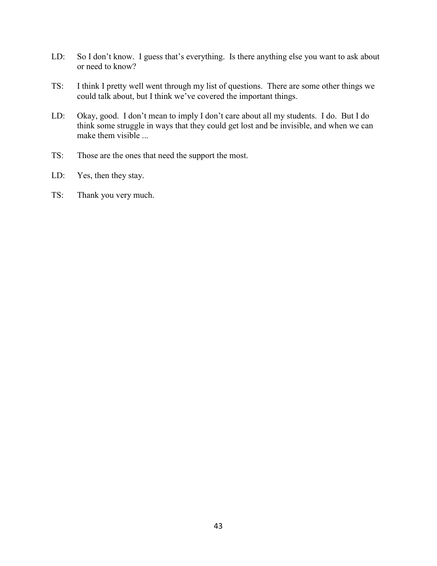- LD: So I don't know. I guess that's everything. Is there anything else you want to ask about or need to know?
- TS: I think I pretty well went through my list of questions. There are some other things we could talk about, but I think we've covered the important things.
- LD: Okay, good. I don't mean to imply I don't care about all my students. I do. But I do think some struggle in ways that they could get lost and be invisible, and when we can make them visible ...
- TS: Those are the ones that need the support the most.
- LD: Yes, then they stay.
- TS: Thank you very much.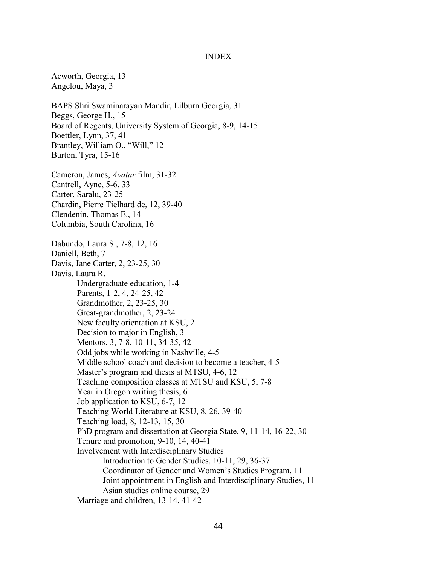#### INDEX

Acworth, Georgia, 13 Angelou, Maya, 3 BAPS Shri Swaminarayan Mandir, Lilburn Georgia, 31 Beggs, George H., 15 Board of Regents, University System of Georgia, 8-9, 14-15 Boettler, Lynn, 37, 41 Brantley, William O., "Will," 12 Burton, Tyra, 15-16 Cameron, James, *Avatar* film, 31-32 Cantrell, Ayne, 5-6, 33 Carter, Saralu, 23-25 Chardin, Pierre Tielhard de, 12, 39-40 Clendenin, Thomas E., 14 Columbia, South Carolina, 16 Dabundo, Laura S., 7-8, 12, 16 Daniell, Beth, 7 Davis, Jane Carter, 2, 23-25, 30 Davis, Laura R. Undergraduate education, 1-4 Parents, 1-2, 4, 24-25, 42 Grandmother, 2, 23-25, 30 Great-grandmother, 2, 23-24 New faculty orientation at KSU, 2 Decision to major in English, 3 Mentors, 3, 7-8, 10-11, 34-35, 42 Odd jobs while working in Nashville, 4-5 Middle school coach and decision to become a teacher, 4-5 Master's program and thesis at MTSU, 4-6, 12 Teaching composition classes at MTSU and KSU, 5, 7-8 Year in Oregon writing thesis, 6 Job application to KSU, 6-7, 12 Teaching World Literature at KSU, 8, 26, 39-40 Teaching load, 8, 12-13, 15, 30 PhD program and dissertation at Georgia State, 9, 11-14, 16-22, 30 Tenure and promotion, 9-10, 14, 40-41 Involvement with Interdisciplinary Studies Introduction to Gender Studies, 10-11, 29, 36-37 Coordinator of Gender and Women's Studies Program, 11 Joint appointment in English and Interdisciplinary Studies, 11 Asian studies online course, 29 Marriage and children, 13-14, 41-42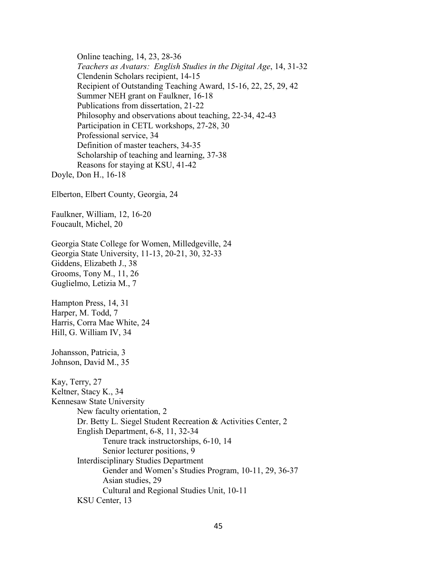Online teaching, 14, 23, 28-36 *Teachers as Avatars: English Studies in the Digital Age*, 14, 31-32 Clendenin Scholars recipient, 14-15 Recipient of Outstanding Teaching Award, 15-16, 22, 25, 29, 42 Summer NEH grant on Faulkner, 16-18 Publications from dissertation, 21-22 Philosophy and observations about teaching, 22-34, 42-43 Participation in CETL workshops, 27-28, 30 Professional service, 34 Definition of master teachers, 34-35 Scholarship of teaching and learning, 37-38 Reasons for staying at KSU, 41-42 Doyle, Don H., 16-18 Elberton, Elbert County, Georgia, 24 Faulkner, William, 12, 16-20 Foucault, Michel, 20 Georgia State College for Women, Milledgeville, 24 Georgia State University, 11-13, 20-21, 30, 32-33 Giddens, Elizabeth J., 38 Grooms, Tony M., 11, 26 Guglielmo, Letizia M., 7 Hampton Press, 14, 31 Harper, M. Todd, 7 Harris, Corra Mae White, 24 Hill, G. William IV, 34 Johansson, Patricia, 3 Johnson, David M., 35 Kay, Terry, 27 Keltner, Stacy K., 34 Kennesaw State University New faculty orientation, 2 Dr. Betty L. Siegel Student Recreation & Activities Center, 2 English Department, 6-8, 11, 32-34 Tenure track instructorships, 6-10, 14 Senior lecturer positions, 9 Interdisciplinary Studies Department Gender and Women's Studies Program, 10-11, 29, 36-37 Asian studies, 29 Cultural and Regional Studies Unit, 10-11 KSU Center, 13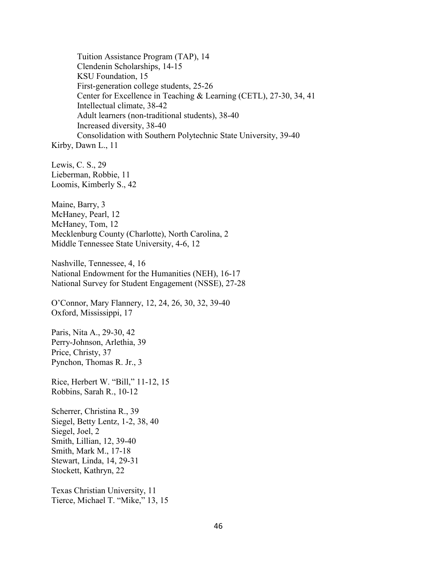Tuition Assistance Program (TAP), 14 Clendenin Scholarships, 14-15 KSU Foundation, 15 First-generation college students, 25-26 Center for Excellence in Teaching & Learning (CETL), 27-30, 34, 41 Intellectual climate, 38-42 Adult learners (non-traditional students), 38-40 Increased diversity, 38-40 Consolidation with Southern Polytechnic State University, 39-40 Kirby, Dawn L., 11 Lewis, C. S., 29 Lieberman, Robbie, 11 Loomis, Kimberly S., 42 Maine, Barry, 3 McHaney, Pearl, 12 McHaney, Tom, 12 Mecklenburg County (Charlotte), North Carolina, 2 Middle Tennessee State University, 4-6, 12 Nashville, Tennessee, 4, 16

National Endowment for the Humanities (NEH), 16-17 National Survey for Student Engagement (NSSE), 27-28

O'Connor, Mary Flannery, 12, 24, 26, 30, 32, 39-40 Oxford, Mississippi, 17

Paris, Nita A., 29-30, 42 Perry-Johnson, Arlethia, 39 Price, Christy, 37 Pynchon, Thomas R. Jr., 3

Rice, Herbert W. "Bill," 11-12, 15 Robbins, Sarah R., 10-12

Scherrer, Christina R., 39 Siegel, Betty Lentz, 1-2, 38, 40 Siegel, Joel, 2 Smith, Lillian, 12, 39-40 Smith, Mark M., 17-18 Stewart, Linda, 14, 29-31 Stockett, Kathryn, 22

Texas Christian University, 11 Tierce, Michael T. "Mike," 13, 15